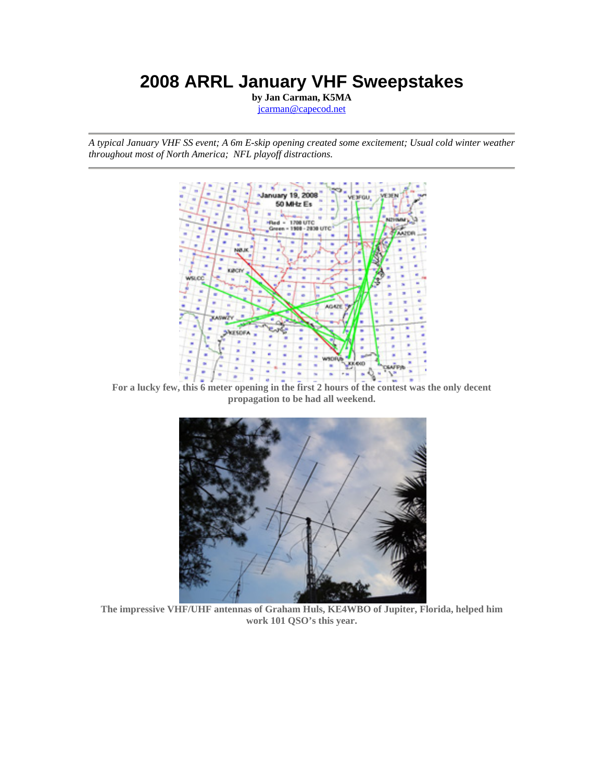# **2008 ARRL January VHF Sweepstakes**

**by Jan Carman, K5MA** jcarman@capecod.net

*A typical January VHF SS event; A 6m E-skip opening created some excitement; Usual cold winter weather throughout most of North America; NFL playoff distractions.*



**For a lucky few, this 6 meter opening in the first 2 hours of the contest was the only decent propagation to be had all weekend.** 



**The impressive VHF/UHF antennas of Graham Huls, KE4WBO of Jupiter, Florida, helped him work 101 QSO's this year.**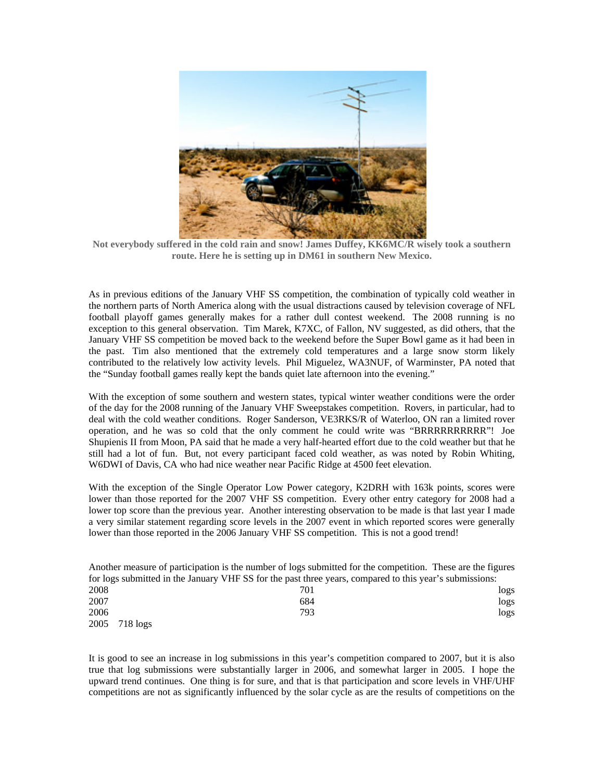

**Not everybody suffered in the cold rain and snow! James Duffey, KK6MC/R wisely took a southern route. Here he is setting up in DM61 in southern New Mexico.** 

As in previous editions of the January VHF SS competition, the combination of typically cold weather in the northern parts of North America along with the usual distractions caused by television coverage of NFL football playoff games generally makes for a rather dull contest weekend. The 2008 running is no exception to this general observation. Tim Marek, K7XC, of Fallon, NV suggested, as did others, that the January VHF SS competition be moved back to the weekend before the Super Bowl game as it had been in the past. Tim also mentioned that the extremely cold temperatures and a large snow storm likely contributed to the relatively low activity levels. Phil Miguelez, WA3NUF, of Warminster, PA noted that the "Sunday football games really kept the bands quiet late afternoon into the evening."

With the exception of some southern and western states, typical winter weather conditions were the order of the day for the 2008 running of the January VHF Sweepstakes competition. Rovers, in particular, had to deal with the cold weather conditions. Roger Sanderson, VE3RKS/R of Waterloo, ON ran a limited rover operation, and he was so cold that the only comment he could write was "BRRRRRRRRRR"! Joe Shupienis II from Moon, PA said that he made a very half-hearted effort due to the cold weather but that he still had a lot of fun. But, not every participant faced cold weather, as was noted by Robin Whiting, W6DWI of Davis, CA who had nice weather near Pacific Ridge at 4500 feet elevation.

With the exception of the Single Operator Low Power category, K2DRH with 163k points, scores were lower than those reported for the 2007 VHF SS competition. Every other entry category for 2008 had a lower top score than the previous year. Another interesting observation to be made is that last year I made a very similar statement regarding score levels in the 2007 event in which reported scores were generally lower than those reported in the 2006 January VHF SS competition. This is not a good trend!

Another measure of participation is the number of logs submitted for the competition. These are the figures for logs submitted in the January VHF SS for the past three years, compared to this year's submissions: 2008 logs and the contract of the contract of the contract of the contract of the contract of the contract of the contract of the contract of the contract of the contract of the contract of the contract of the contract of 2007 684 logs 2006 793 logs

2005 718 logs

It is good to see an increase in log submissions in this year's competition compared to 2007, but it is also true that log submissions were substantially larger in 2006, and somewhat larger in 2005. I hope the upward trend continues. One thing is for sure, and that is that participation and score levels in VHF/UHF competitions are not as significantly influenced by the solar cycle as are the results of competitions on the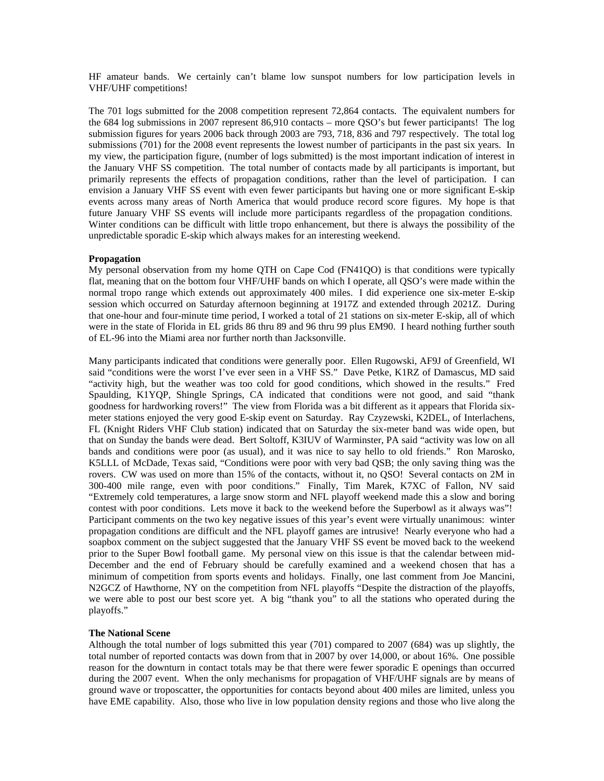HF amateur bands. We certainly can't blame low sunspot numbers for low participation levels in VHF/UHF competitions!

The 701 logs submitted for the 2008 competition represent 72,864 contacts. The equivalent numbers for the 684 log submissions in 2007 represent 86,910 contacts – more QSO's but fewer participants! The log submission figures for years 2006 back through 2003 are 793, 718, 836 and 797 respectively. The total log submissions (701) for the 2008 event represents the lowest number of participants in the past six years. In my view, the participation figure, (number of logs submitted) is the most important indication of interest in the January VHF SS competition. The total number of contacts made by all participants is important, but primarily represents the effects of propagation conditions, rather than the level of participation. I can envision a January VHF SS event with even fewer participants but having one or more significant E-skip events across many areas of North America that would produce record score figures. My hope is that future January VHF SS events will include more participants regardless of the propagation conditions. Winter conditions can be difficult with little tropo enhancement, but there is always the possibility of the unpredictable sporadic E-skip which always makes for an interesting weekend.

#### **Propagation**

My personal observation from my home QTH on Cape Cod (FN41QO) is that conditions were typically flat, meaning that on the bottom four VHF/UHF bands on which I operate, all QSO's were made within the normal tropo range which extends out approximately 400 miles. I did experience one six-meter E-skip session which occurred on Saturday afternoon beginning at 1917Z and extended through 2021Z. During that one-hour and four-minute time period, I worked a total of 21 stations on six-meter E-skip, all of which were in the state of Florida in EL grids 86 thru 89 and 96 thru 99 plus EM90. I heard nothing further south of EL-96 into the Miami area nor further north than Jacksonville.

Many participants indicated that conditions were generally poor. Ellen Rugowski, AF9J of Greenfield, WI said "conditions were the worst I've ever seen in a VHF SS." Dave Petke, K1RZ of Damascus, MD said "activity high, but the weather was too cold for good conditions, which showed in the results." Fred Spaulding, K1YQP, Shingle Springs, CA indicated that conditions were not good, and said "thank goodness for hardworking rovers!" The view from Florida was a bit different as it appears that Florida sixmeter stations enjoyed the very good E-skip event on Saturday. Ray Czyzewski, K2DEL, of Interlachens, FL (Knight Riders VHF Club station) indicated that on Saturday the six-meter band was wide open, but that on Sunday the bands were dead. Bert Soltoff, K3IUV of Warminster, PA said "activity was low on all bands and conditions were poor (as usual), and it was nice to say hello to old friends." Ron Marosko, K5LLL of McDade, Texas said, "Conditions were poor with very bad QSB; the only saving thing was the rovers. CW was used on more than 15% of the contacts, without it, no QSO! Several contacts on 2M in 300-400 mile range, even with poor conditions." Finally, Tim Marek, K7XC of Fallon, NV said "Extremely cold temperatures, a large snow storm and NFL playoff weekend made this a slow and boring contest with poor conditions. Lets move it back to the weekend before the Superbowl as it always was"! Participant comments on the two key negative issues of this year's event were virtually unanimous: winter propagation conditions are difficult and the NFL playoff games are intrusive! Nearly everyone who had a soapbox comment on the subject suggested that the January VHF SS event be moved back to the weekend prior to the Super Bowl football game. My personal view on this issue is that the calendar between mid-December and the end of February should be carefully examined and a weekend chosen that has a minimum of competition from sports events and holidays. Finally, one last comment from Joe Mancini, N2GCZ of Hawthorne, NY on the competition from NFL playoffs "Despite the distraction of the playoffs, we were able to post our best score yet. A big "thank you" to all the stations who operated during the playoffs."

### **The National Scene**

Although the total number of logs submitted this year (701) compared to 2007 (684) was up slightly, the total number of reported contacts was down from that in 2007 by over 14,000, or about 16%. One possible reason for the downturn in contact totals may be that there were fewer sporadic E openings than occurred during the 2007 event. When the only mechanisms for propagation of VHF/UHF signals are by means of ground wave or troposcatter, the opportunities for contacts beyond about 400 miles are limited, unless you have EME capability. Also, those who live in low population density regions and those who live along the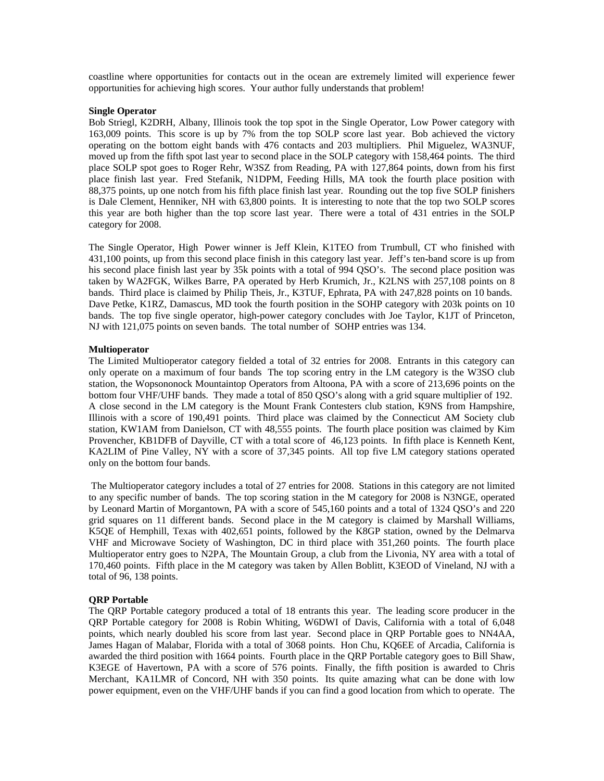coastline where opportunities for contacts out in the ocean are extremely limited will experience fewer opportunities for achieving high scores. Your author fully understands that problem!

#### **Single Operator**

Bob Striegl, K2DRH, Albany, Illinois took the top spot in the Single Operator, Low Power category with 163,009 points. This score is up by 7% from the top SOLP score last year. Bob achieved the victory operating on the bottom eight bands with 476 contacts and 203 multipliers. Phil Miguelez, WA3NUF, moved up from the fifth spot last year to second place in the SOLP category with 158,464 points. The third place SOLP spot goes to Roger Rehr, W3SZ from Reading, PA with 127,864 points, down from his first place finish last year. Fred Stefanik, N1DPM, Feeding Hills, MA took the fourth place position with 88,375 points, up one notch from his fifth place finish last year. Rounding out the top five SOLP finishers is Dale Clement, Henniker, NH with 63,800 points. It is interesting to note that the top two SOLP scores this year are both higher than the top score last year. There were a total of 431 entries in the SOLP category for 2008.

The Single Operator, High Power winner is Jeff Klein, K1TEO from Trumbull, CT who finished with 431,100 points, up from this second place finish in this category last year. Jeff's ten-band score is up from his second place finish last year by 35k points with a total of 994 QSO's. The second place position was taken by WA2FGK, Wilkes Barre, PA operated by Herb Krumich, Jr., K2LNS with 257,108 points on 8 bands. Third place is claimed by Philip Theis, Jr., K3TUF, Ephrata, PA with 247,828 points on 10 bands. Dave Petke, K1RZ, Damascus, MD took the fourth position in the SOHP category with 203k points on 10 bands. The top five single operator, high-power category concludes with Joe Taylor, K1JT of Princeton, NJ with 121,075 points on seven bands. The total number of SOHP entries was 134.

### **Multioperator**

The Limited Multioperator category fielded a total of 32 entries for 2008. Entrants in this category can only operate on a maximum of four bands The top scoring entry in the LM category is the W3SO club station, the Wopsononock Mountaintop Operators from Altoona, PA with a score of 213,696 points on the bottom four VHF/UHF bands. They made a total of 850 QSO's along with a grid square multiplier of 192. A close second in the LM category is the Mount Frank Contesters club station, K9NS from Hampshire, Illinois with a score of 190,491 points. Third place was claimed by the Connecticut AM Society club station, KW1AM from Danielson, CT with 48,555 points. The fourth place position was claimed by Kim Provencher, KB1DFB of Dayville, CT with a total score of 46,123 points. In fifth place is Kenneth Kent, KA2LIM of Pine Valley, NY with a score of 37,345 points. All top five LM category stations operated only on the bottom four bands.

 The Multioperator category includes a total of 27 entries for 2008. Stations in this category are not limited to any specific number of bands. The top scoring station in the M category for 2008 is N3NGE, operated by Leonard Martin of Morgantown, PA with a score of 545,160 points and a total of 1324 QSO's and 220 grid squares on 11 different bands. Second place in the M category is claimed by Marshall Williams, K5QE of Hemphill, Texas with 402,651 points, followed by the K8GP station, owned by the Delmarva VHF and Microwave Society of Washington, DC in third place with 351,260 points. The fourth place Multioperator entry goes to N2PA, The Mountain Group, a club from the Livonia, NY area with a total of 170,460 points. Fifth place in the M category was taken by Allen Boblitt, K3EOD of Vineland, NJ with a total of 96, 138 points.

### **QRP Portable**

The QRP Portable category produced a total of 18 entrants this year. The leading score producer in the QRP Portable category for 2008 is Robin Whiting, W6DWI of Davis, California with a total of 6,048 points, which nearly doubled his score from last year. Second place in QRP Portable goes to NN4AA, James Hagan of Malabar, Florida with a total of 3068 points. Hon Chu, KQ6EE of Arcadia, California is awarded the third position with 1664 points. Fourth place in the QRP Portable category goes to Bill Shaw, K3EGE of Havertown, PA with a score of 576 points. Finally, the fifth position is awarded to Chris Merchant, KA1LMR of Concord, NH with 350 points. Its quite amazing what can be done with low power equipment, even on the VHF/UHF bands if you can find a good location from which to operate. The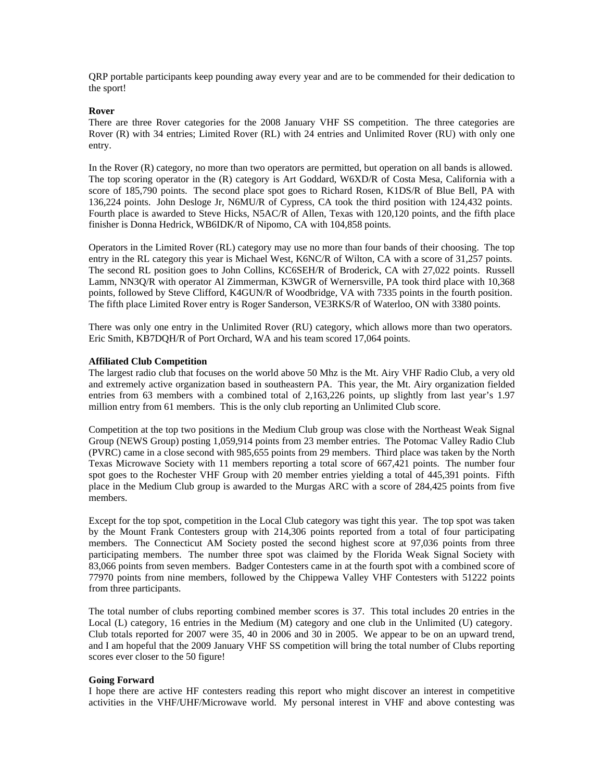QRP portable participants keep pounding away every year and are to be commended for their dedication to the sport!

### **Rover**

There are three Rover categories for the 2008 January VHF SS competition. The three categories are Rover (R) with 34 entries; Limited Rover (RL) with 24 entries and Unlimited Rover (RU) with only one entry.

In the Rover (R) category, no more than two operators are permitted, but operation on all bands is allowed. The top scoring operator in the (R) category is Art Goddard, W6XD/R of Costa Mesa, California with a score of 185,790 points. The second place spot goes to Richard Rosen, K1DS/R of Blue Bell, PA with 136,224 points. John Desloge Jr, N6MU/R of Cypress, CA took the third position with 124,432 points. Fourth place is awarded to Steve Hicks, N5AC/R of Allen, Texas with 120,120 points, and the fifth place finisher is Donna Hedrick, WB6IDK/R of Nipomo, CA with 104,858 points.

Operators in the Limited Rover (RL) category may use no more than four bands of their choosing. The top entry in the RL category this year is Michael West, K6NC/R of Wilton, CA with a score of 31,257 points. The second RL position goes to John Collins, KC6SEH/R of Broderick, CA with 27,022 points. Russell Lamm, NN3Q/R with operator Al Zimmerman, K3WGR of Wernersville, PA took third place with 10,368 points, followed by Steve Clifford, K4GUN/R of Woodbridge, VA with 7335 points in the fourth position. The fifth place Limited Rover entry is Roger Sanderson, VE3RKS/R of Waterloo, ON with 3380 points.

There was only one entry in the Unlimited Rover (RU) category, which allows more than two operators. Eric Smith, KB7DQH/R of Port Orchard, WA and his team scored 17,064 points.

#### **Affiliated Club Competition**

The largest radio club that focuses on the world above 50 Mhz is the Mt. Airy VHF Radio Club, a very old and extremely active organization based in southeastern PA. This year, the Mt. Airy organization fielded entries from 63 members with a combined total of 2,163,226 points, up slightly from last year's 1.97 million entry from 61 members. This is the only club reporting an Unlimited Club score.

Competition at the top two positions in the Medium Club group was close with the Northeast Weak Signal Group (NEWS Group) posting 1,059,914 points from 23 member entries. The Potomac Valley Radio Club (PVRC) came in a close second with 985,655 points from 29 members. Third place was taken by the North Texas Microwave Society with 11 members reporting a total score of 667,421 points. The number four spot goes to the Rochester VHF Group with 20 member entries yielding a total of 445,391 points. Fifth place in the Medium Club group is awarded to the Murgas ARC with a score of 284,425 points from five members.

Except for the top spot, competition in the Local Club category was tight this year. The top spot was taken by the Mount Frank Contesters group with 214,306 points reported from a total of four participating members. The Connecticut AM Society posted the second highest score at 97,036 points from three participating members. The number three spot was claimed by the Florida Weak Signal Society with 83,066 points from seven members. Badger Contesters came in at the fourth spot with a combined score of 77970 points from nine members, followed by the Chippewa Valley VHF Contesters with 51222 points from three participants.

The total number of clubs reporting combined member scores is 37. This total includes 20 entries in the Local (L) category, 16 entries in the Medium (M) category and one club in the Unlimited (U) category. Club totals reported for 2007 were 35, 40 in 2006 and 30 in 2005. We appear to be on an upward trend, and I am hopeful that the 2009 January VHF SS competition will bring the total number of Clubs reporting scores ever closer to the 50 figure!

### **Going Forward**

I hope there are active HF contesters reading this report who might discover an interest in competitive activities in the VHF/UHF/Microwave world. My personal interest in VHF and above contesting was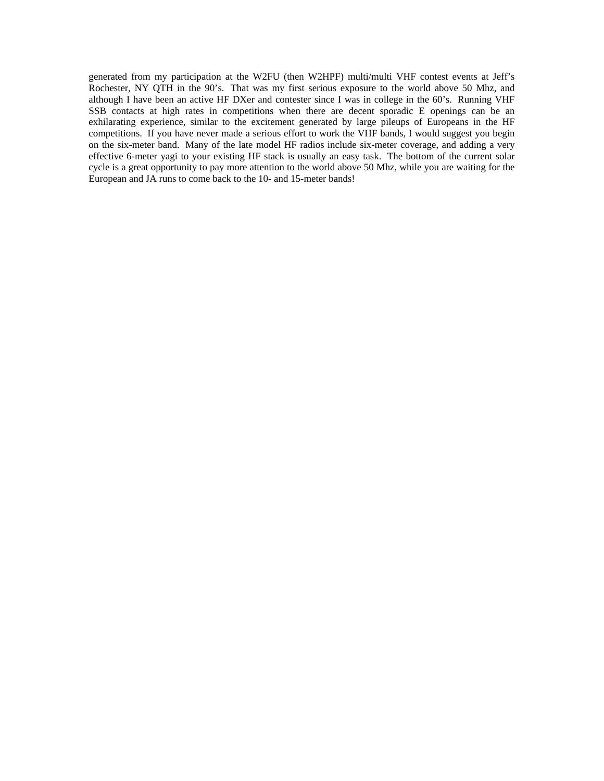generated from my participation at the W2FU (then W2HPF) multi/multi VHF contest events at Jeff's Rochester, NY QTH in the 90's. That was my first serious exposure to the world above 50 Mhz, and although I have been an active HF DXer and contester since I was in college in the 60's. Running VHF SSB contacts at high rates in competitions when there are decent sporadic E openings can be an exhilarating experience, similar to the excitement generated by large pileups of Europeans in the HF competitions. If you have never made a serious effort to work the VHF bands, I would suggest you begin on the six-meter band. Many of the late model HF radios include six-meter coverage, and adding a very effective 6-meter yagi to your existing HF stack is usually an easy task. The bottom of the current solar cycle is a great opportunity to pay more attention to the world above 50 Mhz, while you are waiting for the European and JA runs to come back to the 10- and 15-meter bands!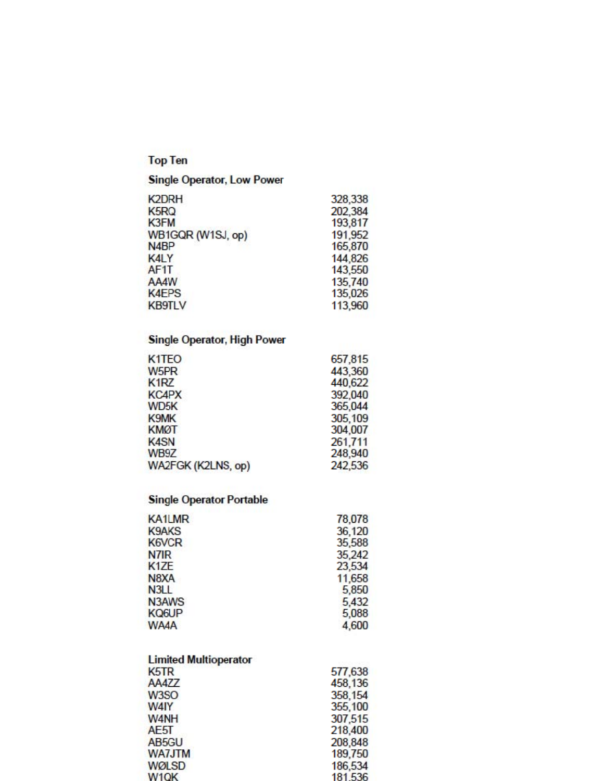# **Top Ten**

# Single Operator, Low Power

| <b>K2DRH</b>      | 328,338 |
|-------------------|---------|
| K <sub>5</sub> RQ | 202,384 |
| K3FM              | 193,817 |
| WB1GQR (W1SJ, op) | 191,952 |
| N <sub>4</sub> BP | 165,870 |
| <b>K4LY</b>       | 144,826 |
| AF <sub>1</sub> T | 143,550 |
| AA4W              | 135,740 |
| <b>K4EPS</b>      | 135,026 |
| <b>KB9TLV</b>     | 113,960 |
|                   |         |

# Single Operator, High Power

| K <sub>1</sub> T <sub>EO</sub> | 657,815 |
|--------------------------------|---------|
| W <sub>5</sub> PR              | 443,360 |
| K <sub>1</sub> RZ              | 440,622 |
| <b>KC4PX</b>                   | 392,040 |
| WD <sub>5</sub> K              | 365,044 |
| <b>K9MK</b>                    | 305,109 |
| <b>KMØT</b>                    | 304,007 |
| <b>K4SN</b>                    | 261,711 |
| WB9Z                           | 248,940 |
| WA2FGK (K2LNS, op)             | 242,536 |

### **Single Operator Portable**

| KA1LMR            | 78,078 |
|-------------------|--------|
| <b>K9AKS</b>      | 36,120 |
| <b>K6VCR</b>      | 35,588 |
| N7IR              | 35,242 |
| K <sub>1</sub> ZE | 23,534 |
| N8XA              | 11,658 |
| N <sub>3</sub> LL | 5,850  |
| N3AWS             | 5,432  |
| <b>KQ6UP</b>      | 5,088  |
| <b>WA4A</b>       | 4,600  |

| <b>Limited Multioperator</b>  |         |
|-------------------------------|---------|
| K <sub>5</sub> T <sub>R</sub> | 577,638 |
| AA4ZZ                         | 458,136 |
| W <sub>3</sub> SO             | 358,154 |
| W4IY                          | 355,100 |
| W <sub>4</sub> NH             | 307,515 |
| AE5T                          | 218,400 |
| AB5GU                         | 208,848 |
| <b>WA7JTM</b>                 | 189,750 |
| <b>WØLSD</b>                  | 186,534 |
| W <sub>1</sub> OK             | 181 536 |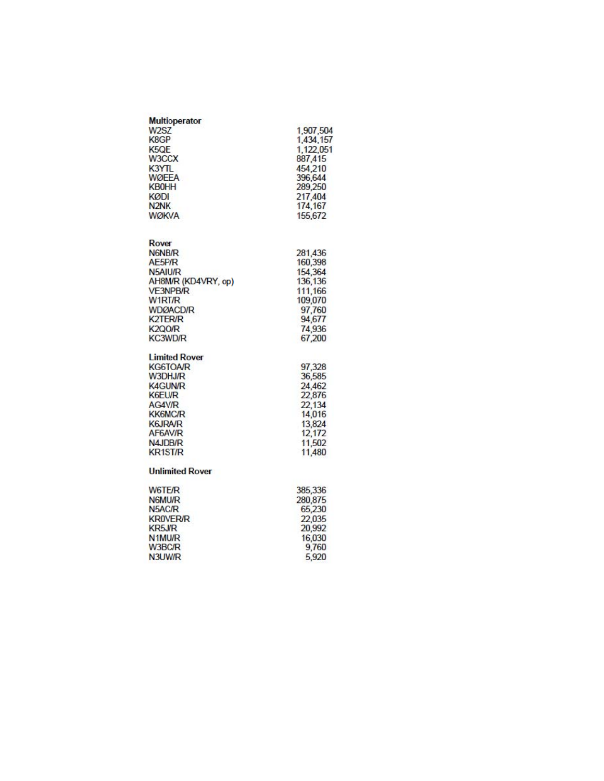| <b>Multioperator</b>          |           |
|-------------------------------|-----------|
| W <sub>2</sub> SZ             | 1,907,504 |
| K8GP                          | 1,434,157 |
| K <sub>5</sub> Q <sub>E</sub> | 1,122,051 |
| W3CCX                         | 887,415   |
| <b>K3YTL</b>                  | 454,210   |
| <b>WØFFA</b>                  | 396,644   |
| <b>KB0HH</b>                  | 289,250   |
| KØDI                          | 217,404   |
| N <sub>2</sub> N <sub>K</sub> | 174,167   |
| <b>WØKVA</b>                  | 155,672   |

| Rover               |         |
|---------------------|---------|
| N6NB/R              | 281,436 |
| AE5P/R              | 160,398 |
| N5AIU/R             | 154,364 |
| AH8M/R (KD4VRY, op) | 136,136 |
| <b>VE3NPB/R</b>     | 111.166 |
| W <sub>1</sub> RT/R | 109,070 |
| <b>WDØACD/R</b>     | 97,760  |
| <b>K2TER/R</b>      | 94,677  |
| <b>K2QO/R</b>       | 74,936  |
| <b>KC3WD/R</b>      | 67,200  |

# Limited Rover<br>KG6TOA/R

| <b>KG6TOA/R</b> | 97,328 |
|-----------------|--------|
| W3DHJ/R         | 36,585 |
| <b>K4GUN/R</b>  | 24,462 |
| K6EU/R          | 22,876 |
| AG4V/R          | 22.134 |
| <b>KK6MC/R</b>  | 14,016 |
| <b>K6JRA/R</b>  | 13.824 |
| AF6AV/R         | 12,172 |
| N4JDB/R         | 11,502 |
| <b>KR1ST/R</b>  | 11,480 |
|                 |        |

#### **Unlimited Rover**

| W6TE/R              | 385,336 |
|---------------------|---------|
| N6MU/R              | 280,875 |
| N5AC/R              | 65,230  |
| <b>KROVER/R</b>     | 22,035  |
| KR5J/R              | 20,992  |
| N <sub>1</sub> MU/R | 16,030  |
| W3BC/R              | 9,760   |
| N3UW/R              | 5.920   |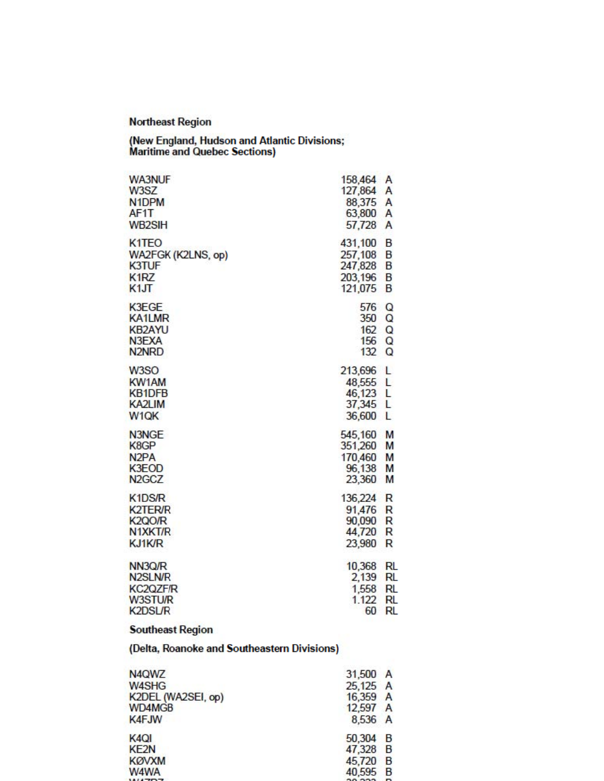### **Northeast Region**

(New England, Hudson and Atlantic Divisions;<br>Maritime and Quebec Sections)

| <b>WA3NUF</b>                                                 | 158,464                                           | A                |
|---------------------------------------------------------------|---------------------------------------------------|------------------|
| W3SZ                                                          | 127,864                                           | Α                |
| N <sub>1</sub> DPM                                            | 88,375                                            | Α                |
| AF <sub>1</sub> T                                             | 63,800                                            | Α                |
| WB2SIH                                                        | 57,728                                            | A                |
| K <sub>1</sub> TEO                                            | 431,100                                           | B                |
| WA2FGK (K2LNS, op)                                            | 257,108                                           | B                |
| <b>K3TUF</b>                                                  | 247,828                                           | B                |
| K <sub>1</sub> RZ                                             | 203,196                                           | B                |
| K1JT                                                          | 121,075                                           | B                |
| <b>K3EGE</b>                                                  | 576                                               | Q                |
| <b>KA1LMR</b>                                                 | 350                                               | Q                |
| <b>KB2AYU</b>                                                 | 162                                               | Q                |
| N3EXA                                                         | 156                                               | Q                |
| N <sub>2</sub> N <sub>RD</sub>                                | 132                                               | Q                |
| W3SO<br>KW1AM<br><b>KB1DFB</b><br>KA2LIM<br>W <sub>1</sub> QK | 213,696 L<br>48,555<br>46,123<br>37,345<br>36,600 | L<br>L<br>L<br>L |
| N3NGE                                                         | 545,160                                           | M                |
| K8GP                                                          | 351,260                                           | M                |
| N <sub>2</sub> PA                                             | 170,460                                           | M                |
| <b>K3EOD</b>                                                  | 96,138                                            | M                |
| N <sub>2</sub> GC <sub>Z</sub>                                | 23,360                                            | M                |
| K1DS/R                                                        | 136,224                                           | R                |
| <b>K2TER/R</b>                                                | 91,476                                            | R                |
| K <sub>2</sub> QO/R                                           | 90,090                                            | R                |
| N1XKT/R                                                       | 44,720                                            | R                |
| KJ1K/R                                                        | 23,980                                            | R                |
| NN3Q/R                                                        | 10,368                                            | RL               |
| N <sub>2</sub> SLN/R                                          | 2,139                                             | <b>RL</b>        |
| <b>KC2QZF/R</b>                                               | 1,558                                             | <b>RL</b>        |
| W3STU/R                                                       | 1.122                                             | RL               |
| <b>K2DSL/R</b>                                                | 60                                                | RL               |

### **Southeast Region**

(Delta, Roanoke and Southeastern Divisions)

| N4QWZ              | 31,500 A |        |
|--------------------|----------|--------|
| W4SHG              | 25,125 A |        |
| K2DEL (WA2SEI, op) | 16,359 A |        |
| WD4MGB             | 12,597 A |        |
| <b>K4FJW</b>       | 8,536 A  |        |
| K <sub>4</sub> QI  | 50,304 B |        |
| KE <sub>2N</sub>   | 47,328 B |        |
| <b>KØVXM</b>       | 45,720   | - B    |
| W4WA               | 40,595 B |        |
| 1117777            | .        | $\sim$ |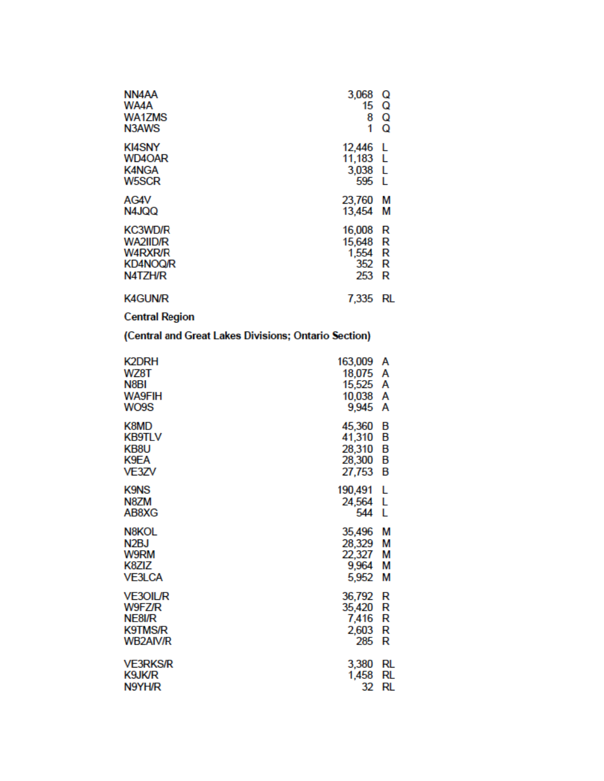| NN4AA<br>WA4A<br>WA1ZMS<br>N3AWS                                           | 3,068<br>15<br>8<br>1                     | Q<br>Q<br>Q<br>Q |
|----------------------------------------------------------------------------|-------------------------------------------|------------------|
| <b>KI4SNY</b><br>WD4OAR<br><b>K4NGA</b><br><b>W5SCR</b>                    | 12,446<br>11,183 L<br>3,038 L<br>595      | L<br>-1.         |
| AG4V<br>N4JQQ                                                              | 23,760<br>13,454                          | М<br>М           |
| <b>KC3WD/R</b><br>WA2IID/R<br><b>W4RXR/R</b><br><b>KD4NOQ/R</b><br>N4TZH/R | 16,008<br>15,648<br>1,554<br>352 R<br>253 | R<br>R<br>R<br>R |
| <b>K4GUN/R</b>                                                             | 7,335                                     | RL               |
| <b>Central Region</b>                                                      |                                           |                  |

(Central and Great Lakes Divisions; Ontario Section)

| K2DRH             | 163,009 | А  |
|-------------------|---------|----|
| WZ8T              | 18,075  | А  |
| N8BI              | 15,525  | Α  |
| <b>WA9FIH</b>     | 10,038  | А  |
| WO9S              | 9,945   | А  |
| K8MD              | 45,360  | в  |
| <b>KB9TLV</b>     | 41,310  | В  |
| KB8U              | 28,310  | В  |
| K9EA              | 28,300  | В  |
| VE3ZV             | 27,753  | В  |
| <b>K9NS</b>       | 190,491 | L  |
| N8ZM              | 24,564  | -L |
| AB8XG             | 544     | L  |
| N8KOL             | 35,496  | М  |
| N <sub>2</sub> BJ | 28,329  | М  |
| W9RM              | 22,327  | М  |
| K8ZIZ             | 9,964   | М  |
| <b>VE3LCA</b>     | 5,952   | М  |
| <b>VE3OIL/R</b>   | 36,792  | R  |
| W9FZ/R            | 35,420  | R  |
| NE8I/R            | 7,416   | R  |
| <b>K9TMS/R</b>    | 2,603   | R  |
| <b>WB2AIV/R</b>   | 285     | R  |
| <b>VE3RKS/R</b>   | 3,380   | RL |
| K9JK/R            | 1,458   | RL |
| N9YH/R            | 32      | RL |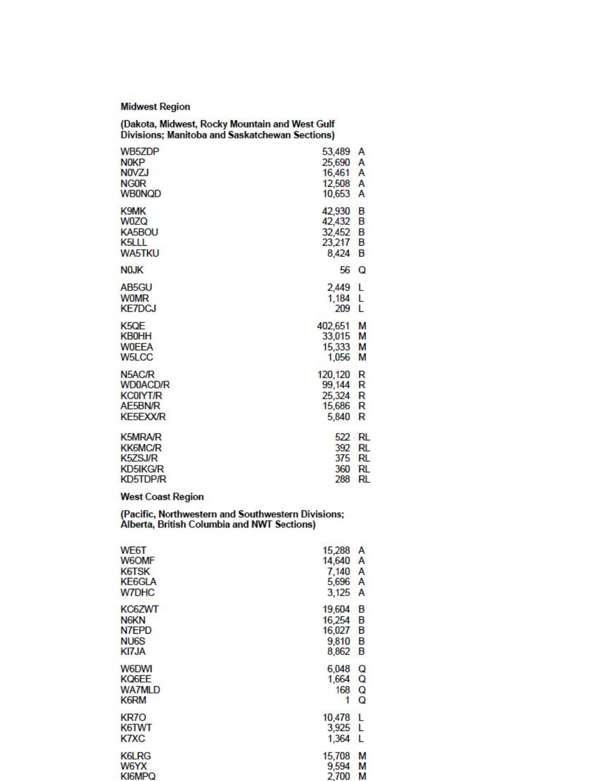**Midwest Region** 

| (Dakota, Midwest, Rocky Mountain and West Gulf<br>Divisions; Manitoba and Saskatchewan Sections) |                           |              |
|--------------------------------------------------------------------------------------------------|---------------------------|--------------|
| WB5ZDP                                                                                           | 53,489                    | A            |
| N <sub>0</sub> KP                                                                                | 25,690                    | A            |
| <b>NOVZJ</b>                                                                                     | 16,461                    | A            |
| <b>NGOR</b>                                                                                      | 12,508                    | A            |
| <b>WB0NQD</b>                                                                                    | 10,653                    | A            |
| K9MK                                                                                             | 42,930                    | B            |
| <b>W0ZQ</b>                                                                                      | 42,432                    | B            |
| KA5BOU                                                                                           | 32,452                    | B            |
| K <sub>5</sub> LLL                                                                               | 23,217                    | B            |
| <b>WA5TKU</b>                                                                                    | 8,424                     | B            |
| N <sub>0</sub> JK                                                                                | 56                        | $\Omega$     |
| AB <sub>5</sub> GU<br><b>WOMR</b><br><b>KE7DCJ</b>                                               | 2,449<br>$1,184$ L<br>209 | L<br>L       |
| K <sub>5</sub> QE                                                                                | 402,651                   | M            |
| <b>KB0HH</b>                                                                                     | 33,015                    | M            |
| <b>WOEEA</b>                                                                                     | 15,333                    | M            |
| W <sub>5</sub> LCC                                                                               | 1,056                     | M            |
| N5AC/R                                                                                           | 120,120                   | R            |
| WD0ACD/R                                                                                         | 99,144                    | R            |
| <b>KCOIYT/R</b>                                                                                  | 25,324                    | R            |
| AE5BN/R                                                                                          | 15,686                    | $\mathsf{R}$ |
| <b>KE5EXX/R</b>                                                                                  | 5.840                     | R            |
| <b>K5MRA/R</b>                                                                                   | 522                       | <b>RL</b>    |
| <b>KK6MC/R</b>                                                                                   | 392                       | <b>RL</b>    |
| K5ZSJ/R                                                                                          | 375                       | <b>RL</b>    |
| <b>KD5IKG/R</b>                                                                                  | 360                       | RL           |
| KD5TDP/R                                                                                         | 288                       | <b>RL</b>    |

### **West Coast Region**

(Pacific, Northwestern and Southwestern Divisions;<br>Alberta, British Columbia and NWT Sections)

| WE6T                          | 15,288 | A |
|-------------------------------|--------|---|
| <b>W6OMF</b>                  | 14,640 | A |
| K6TSK                         | 7.140  | A |
| <b>KE6GLA</b>                 | 5,696  | A |
| <b>W7DHC</b>                  | 3,125  | A |
| KC6ZWT                        | 19,604 | B |
| N <sub>6</sub> K <sub>N</sub> | 16,254 | B |
| N7EPD                         | 16,027 | B |
| NU <sub>6</sub> S             | 9,810  | B |
| KI7JA                         | 8,862  | B |
| <b>W6DWI</b>                  | 6,048  | Q |
| KQ6EE                         | 1.664  | Q |
| <b>WA7MLD</b>                 | 168    | Q |
| K6RM                          | 1      | Q |
| KR7O                          | 10,478 | L |
| K6TWT                         | 3,925  | L |
| K7XC                          | 1.364  | L |
| <b>K6LRG</b>                  | 15,708 | M |
| W6YX                          | 9,594  | M |
| KI6MPQ                        | 2.700  | м |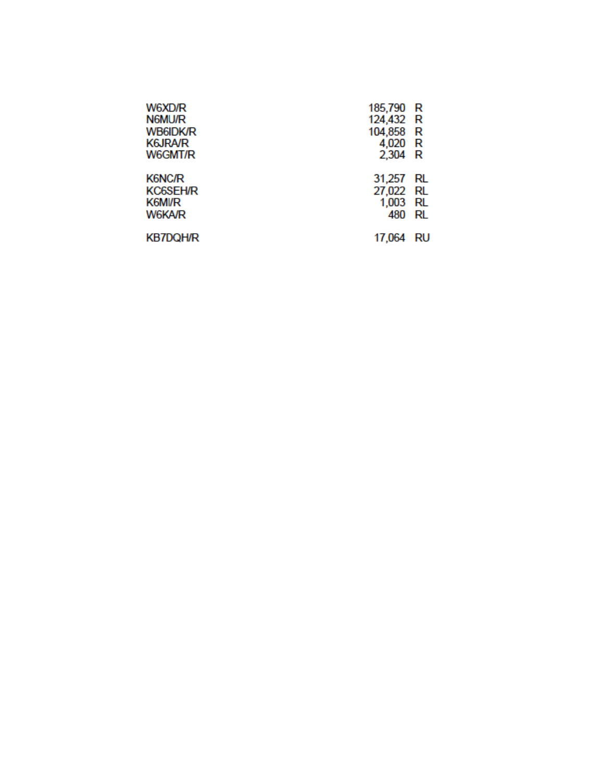| W6XD/R<br><b>N6MU/R</b><br><b>WB6IDK/R</b><br><b>K6JRA/R</b><br><b>W6GMT/R</b> | 185,790 R<br>124,432 R<br>104,858 R<br>4,020 R<br>2,304 R |          |
|--------------------------------------------------------------------------------|-----------------------------------------------------------|----------|
| <b>K6NC/R</b><br><b>KC6SEH/R</b><br><b>K6MI/R</b><br>W6KA/R                    | 31,257<br>27,022 RL<br>1,003 RL<br>480                    | RL<br>RL |
| <b>KB7DQH/R</b>                                                                | 17,064                                                    | RU       |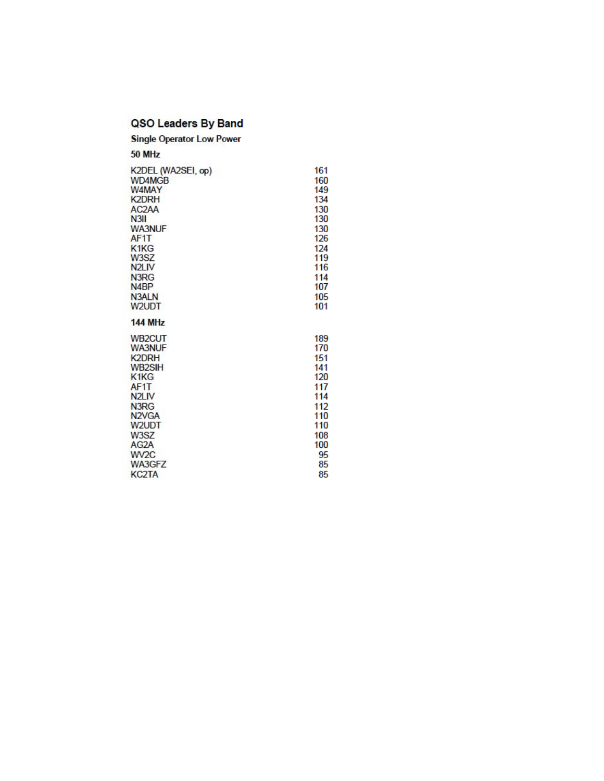### QSO Leaders By Band

**Single Operator Low Power** 

50 MHz

| K2DEL (WA2SEI, op)             | 161 |
|--------------------------------|-----|
| WD4MGB                         | 160 |
| W4MAY                          | 149 |
| <b>K2DRH</b>                   | 134 |
| AC <sub>2</sub> A <sub>A</sub> | 130 |
| N <sub>3II</sub>               | 130 |
| <b>WA3NUF</b>                  | 130 |
| AF1T                           | 126 |
| K <sub>1</sub> K <sub>G</sub>  | 124 |
| <b>W3SZ</b>                    | 119 |
| N <sub>2LIV</sub>              | 116 |
| N3RG                           | 114 |
| N <sub>4</sub> BP              | 107 |
| <b>N3ALN</b>                   | 105 |
| W2UDT                          | 101 |
|                                |     |
| <b>144 MHz</b>                 |     |
| WB <sub>2</sub> CUT            | 189 |
| <b>WA3NUF</b>                  | 170 |
| K <sub>2</sub> DRH             | 151 |
| WB2SIH                         | 141 |
| K <sub>1</sub> K <sub>G</sub>  | 120 |
| AF <sub>1</sub> T              | 117 |
| N <sub>2</sub> L <sub>IV</sub> | 114 |
| N <sub>3</sub> R <sub>G</sub>  | 112 |
| N <sub>2</sub> V <sub>GA</sub> | 110 |
| W2UDT                          | 110 |
| W3SZ                           | 108 |
| AG <sub>2</sub> A              | 100 |
| W <sub>V2C</sub>               | 95  |
| WA3GFZ                         | 85  |
| <b>KC2TA</b>                   | 85  |
|                                |     |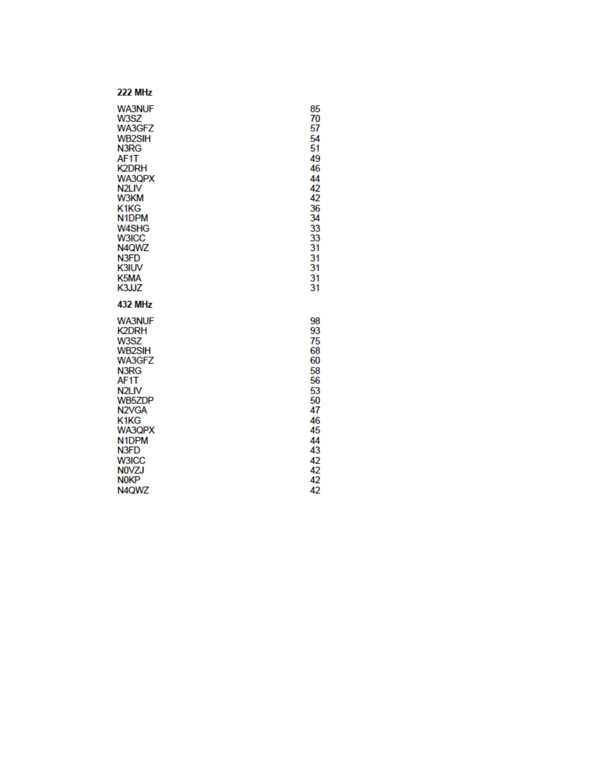#### **222 MHz WA3NUF** W3SZ WA3GFZ **WB2SIH** N3RG AF1T **K2DRH** WA3QPX N<sub>2LIV</sub> W3KM K1KG N1DPM W4SHG **W3ICC** N4QWZ N3FD **K3IUV** K5MA K3JJZ **432 MHz WA3NUF K2DRH** W3SZ **WB2SIH** WA3GFZ N3RG AF1T N<sub>2LIV</sub> **WB5ZDP** N<sub>2VGA</sub> K1KG WA3QPX N1DPM N3FD W3ICC **NOVZJ NOKP** N4QWZ

85

70

57

54  $\overline{51}$ 

49

46

44  $\frac{42}{42}$ 

36  $\overline{34}$ 

33

33

31

31

31

31

 $31$ 

98

93

75

68

60

58

56 53

 $50$ 

47

46

45

44 43

42

42

42

42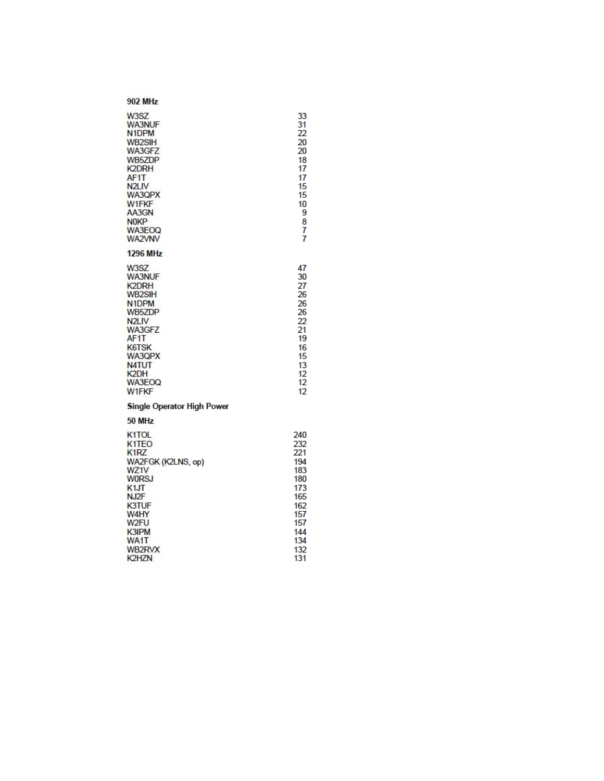W3SZ<br>WA3NUF<br>N1DPM WB<sub>2SIH</sub> WA3GFZ WB5ZDP<br>K2DRH AF1T<br>N2LIV WA3QPX **W1FKF** AA3GN **NOKP** WA3EOQ **WA2VNV** 

#### **1296 MHz**

W3SZ **WA3NUF K2DRH WB2SIH** N<sub>1</sub>DPM **WB5ZDP** N<sub>2LIV</sub> WA3GFZ AF1T **K6TSK** WA3QPX N4TUT WA3EOQ **W1FKF** 

### **Single Operator High Power**

50 MHz

| K <sub>1</sub> TOL            | 240 |
|-------------------------------|-----|
| K <sub>1</sub> TEO            | 232 |
| K <sub>1</sub> R <sub>Z</sub> | 221 |
| WA2FGK (K2LNS, op)            | 194 |
| WZ1V                          | 183 |
| <b>WORSJ</b>                  | 180 |
| K1JT                          | 173 |
| NJ <sub>2</sub> F             | 165 |
| <b>K3TUF</b>                  | 162 |
| W4HY                          | 157 |
| W2FU                          | 157 |
| K3IPM                         | 144 |
| WA1T                          | 134 |
| WB2RVX                        | 132 |
| K2HZN                         | 131 |
|                               |     |

33<br>31<br>22<br>20<br>20

 $rac{18}{17}$ 

 $\begin{array}{c} 17 \\ 15 \\ 15 \end{array}$ 

 $\begin{array}{c}\n10 \\
9 \\
8 \\
7 \\
7\n\end{array}$ 

 $\frac{16}{15}$ 

 $\frac{13}{12}$ 

 $12$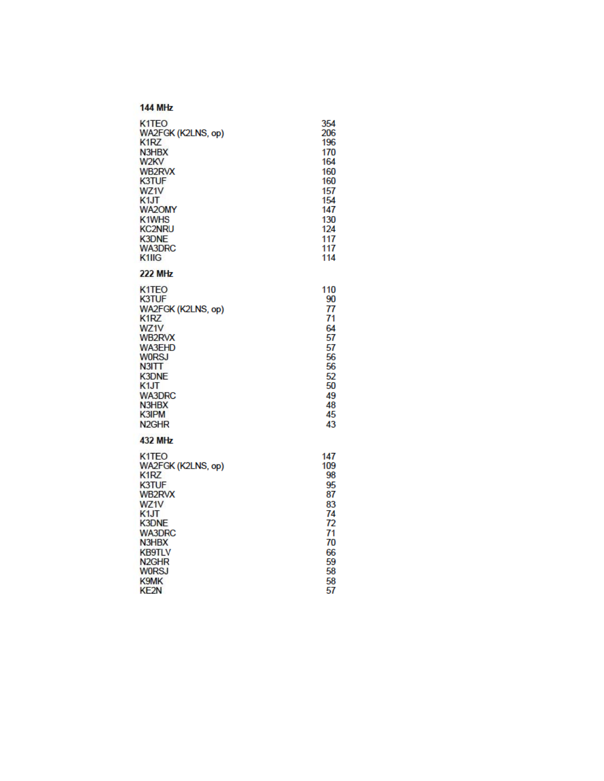| K <sub>1</sub> TEO             | 354 |
|--------------------------------|-----|
| WA2FGK (K2LNS, op)             | 206 |
| K1RZ                           | 196 |
| N3HBX                          | 170 |
| W <sub>2</sub> KV              | 164 |
| <b>WB2RVX</b>                  | 160 |
| K3TUF                          | 160 |
| WZ1V                           | 157 |
| K <sub>1</sub> JT              | 154 |
| <b>WA2OMY</b>                  | 147 |
| K1WHS                          | 130 |
| <b>KC2NRU</b>                  | 124 |
| <b>K3DNE</b>                   | 117 |
| <b>WA3DRC</b>                  | 117 |
| K <sub>1</sub> IIG             | 114 |
| <b>222 MHz</b>                 |     |
| K <sub>1</sub> T <sub>EO</sub> | 110 |
| K3TUF                          | 90  |
| WA2FGK (K2LNS, op)             | 77  |
| K1RZ                           | 71  |
| WZ1V                           | 64  |
| WB2RVX                         | 57  |
| <b>WA3EHD</b>                  | 57  |
| <b>WORSJ</b>                   | 56  |
| N3IT                           | 56  |
| <b>K3DNE</b>                   | 52  |
| K <sub>1</sub> JT              | 50  |
| <b>WA3DRC</b>                  | 49  |
| N3HBX                          | 48  |
| K3IPM                          | 45  |
| N <sub>2GHR</sub>              | 43  |
| <b>432 MHz</b>                 |     |
| K <sub>1</sub> TEO             | 147 |
| WA2FGK (K2LNS, op)             | 109 |
| K1RZ                           | 98  |
| <b>K3TUF</b>                   | 95  |
| WB2RVX                         | 87  |
| WZ1V                           | 83  |
| K <sub>1</sub> JT              | 74  |
| <b>K3DNE</b>                   | 72  |
| <b>WA3DRC</b>                  | 71  |
| N3HBX                          | 70  |
| <b>KB9TLV</b>                  | 66  |
| N <sub>2GHR</sub>              | 59  |
| WORSJ                          | 58  |
| K9MK                           | 58  |
| KF <sub>2N</sub>               | 57  |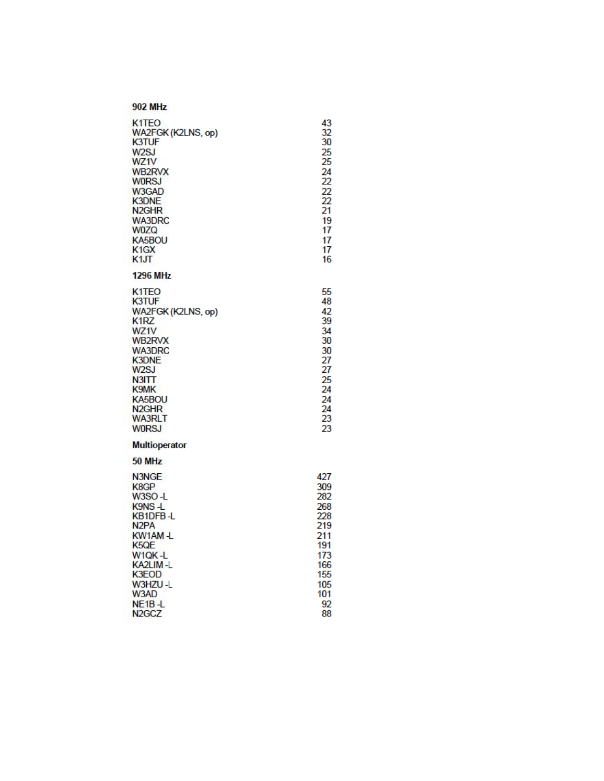| <b>902 MHz</b>                                                                                                                                                                                                                                         |                                                                                                     |
|--------------------------------------------------------------------------------------------------------------------------------------------------------------------------------------------------------------------------------------------------------|-----------------------------------------------------------------------------------------------------|
| K <sub>1</sub> T <sub>EO</sub><br>WA2FGK (K2LNS, op)<br>K3TUF<br>W <sub>2</sub> SJ<br>WZ1V<br>WB2RVX<br><b>WORSJ</b><br>W3GAD<br><b>K3DNE</b><br>N <sub>2GHR</sub><br><b>WA3DRC</b><br><b>W0ZQ</b><br>KA5BOU<br>K <sub>1</sub> GX<br>K1JT              | 43<br>32<br>30<br>25<br>25<br>24<br>22<br>22<br>22<br>21<br>19<br>17<br>17<br>17<br>16              |
| <b>1296 MHz</b>                                                                                                                                                                                                                                        |                                                                                                     |
| K <sub>1</sub> T <sub>EO</sub><br>K3TUF<br>WA2FGK (K2LNS, op)<br>K <sub>1</sub> R <sub>Z</sub><br>WZ1V<br>WB2RVX<br><b>WA3DRC</b><br><b>K3DNE</b><br>W <sub>2</sub> SJ<br>N3IT<br>K9MK<br>KA5BOU<br>N <sub>2GHR</sub><br><b>WA3RLT</b><br><b>W0RSJ</b> | 55<br>48<br>42<br>39<br>34<br>30<br>30<br>27<br>27<br>25<br>24<br>24<br>24<br>23<br>23              |
| <b>Multioperator</b>                                                                                                                                                                                                                                   |                                                                                                     |
| 50 MHz<br>N3NGE<br>K8GP<br>W3SO-L<br>K9NS-L<br>KB1DFB-L<br>N <sub>2</sub> PA<br>KW1AM-L<br>K <sub>5</sub> QE<br>W1QK-L<br>KA2LIM-L<br>K3EOD<br>W3HZU-L<br>W3AD<br>NE <sub>1</sub> B-L<br>N <sub>2</sub> G <sub>C</sub> Z                               | 427<br>309<br>282<br>268<br>228<br>219<br>211<br>191<br>173<br>166<br>155<br>105<br>101<br>92<br>88 |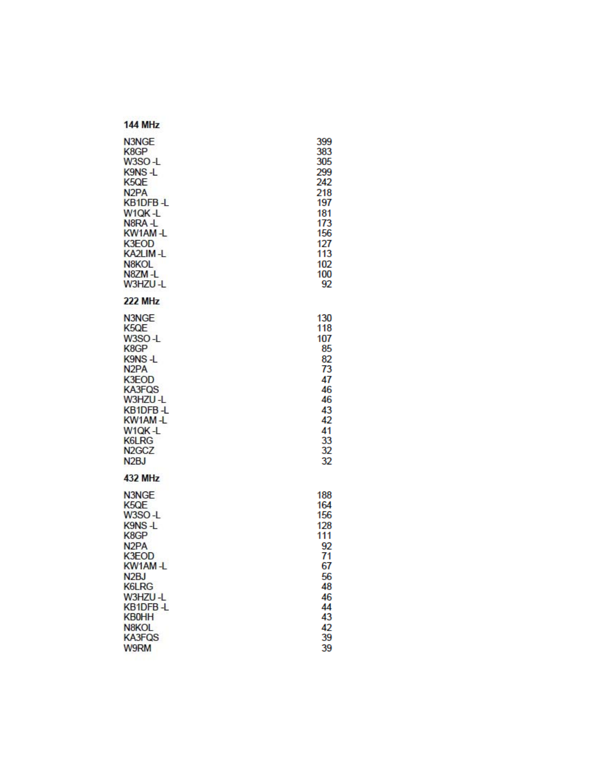| 399<br>383<br>305<br>299<br>242<br>218<br>197<br>181<br>173<br>156<br>127<br>113<br>102<br>100<br>92 |
|------------------------------------------------------------------------------------------------------|
|                                                                                                      |
| 130<br>118<br>107<br>85<br>82<br>73<br>47<br>46<br>46<br>43<br>42<br>41<br>33<br>32<br>32            |
|                                                                                                      |
| 188<br>164<br>156<br>128<br>111<br>92<br>71<br>67<br>56<br>48<br>46<br>44<br>43<br>42<br>39<br>39    |
|                                                                                                      |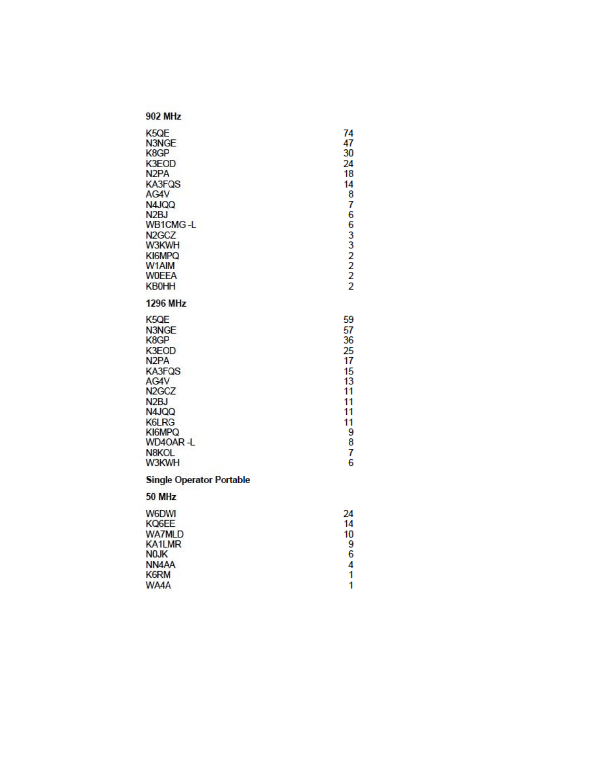| K5QE<br>N3NGE<br>K8GP<br>K3EOD<br>N <sub>2</sub> PA<br><b>KA3FQS</b><br>AG4V<br>N4JQQ<br>N <sub>2</sub> BJ<br><b>WB1CMG-L</b><br>N <sub>2</sub> G <sub>C</sub> Z<br>W3KWH<br>KI6MPQ<br>W1AIM<br><b>WOEEA</b><br><b>KB0HH</b> | 74<br>47<br>30<br>24<br>18<br>14<br>8<br>7<br>6<br>6<br>332222                     |
|------------------------------------------------------------------------------------------------------------------------------------------------------------------------------------------------------------------------------|------------------------------------------------------------------------------------|
| <b>1296 MHz</b>                                                                                                                                                                                                              |                                                                                    |
| K5QE<br>N3NGE<br>K8GP<br>K3EOD<br>N <sub>2</sub> PA<br><b>KA3FQS</b><br>AG4V<br>N <sub>2</sub> GC <sub>Z</sub><br>N <sub>2</sub> BJ<br>N4JQQ<br>K6LRG<br>KI6MPQ<br>WD4OAR-L<br>N8KOL<br>W3KWH                                | 59<br>57<br>36<br>25<br>17<br>15<br>13<br>11<br>11<br>11<br>11<br>9<br>8<br>7<br>6 |
| <b>Single Operator Portable</b><br>50 MHz                                                                                                                                                                                    |                                                                                    |
| <b>W6DWI</b><br>KQ6EE<br><b>WA7MLD</b><br><b>KA1LMR</b><br>N <sub>0</sub> JK<br>NN <sub>4</sub> AA<br><b>K6RM</b><br>WA4A                                                                                                    | 24<br>14<br>10<br>9<br>6<br>4<br>1<br>1                                            |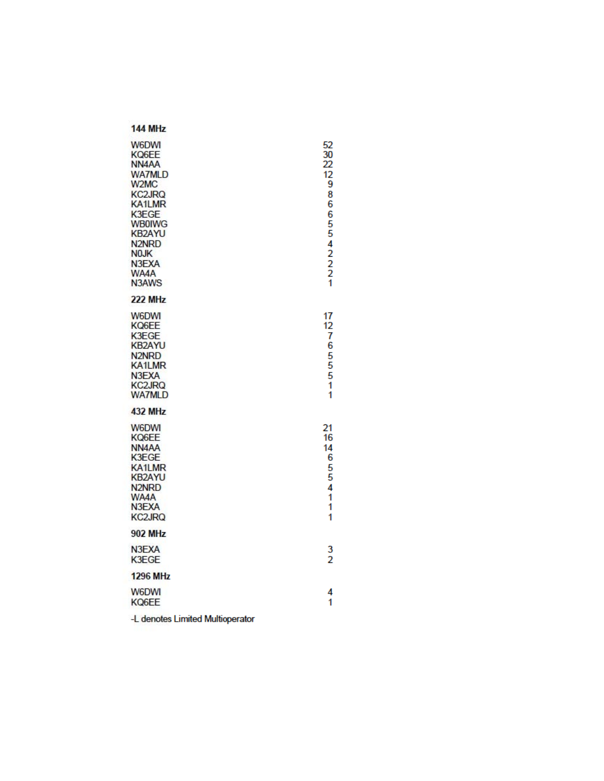#### **144 MHz** 52<br>30<br>22 **W6DWI** KQ6EE NN<sub>4</sub>AA  $\frac{12}{9}$ **WA7MLD** W<sub>2</sub>M<sub>C</sub> 8 **KC2JRQ KA1LMR** 6 K3EGE 65542221 **WB0IWG KB2AYU** N<sub>2NRD</sub> **NOJK** N3EXA WA4A N3AWS **222 MHz W6DWI**  $17$  $\begin{array}{c} 12 \\ 7 \\ 6 \end{array}$ KQ6EE K3EGE **KB2AYU** N<sub>2NRD</sub> 5<br>5<br>5 **KA1LMR** N3EXA KC2JRQ<br>WA7MLD 1 1 **432 MHz** W6DWI 21 KQ6EE 16 NN<sub>4</sub>AA 14 K3EGE 6 **KA1LMR**  $\frac{5}{5}$ **KB2AYU** N<sub>2NRD</sub> 4 WA4A 1 N3EXA 1 **KC2JRQ** 1 **902 MHz** 3 N3EXA  $\overline{2}$ K3EGE **1296 MHz** W6DWI 4 KQ6EE 1 -L denotes Limited Multioperator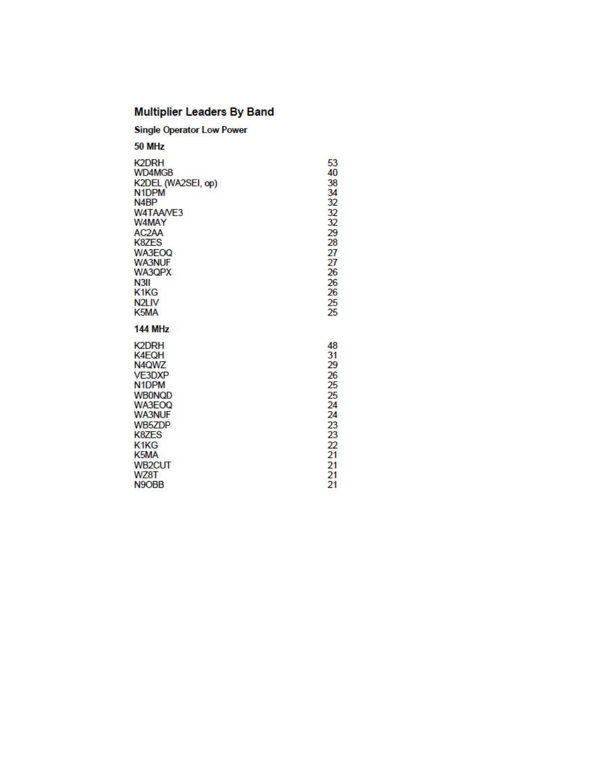# **Multiplier Leaders By Band**

| <b>Single Operator Low Power</b> |  |
|----------------------------------|--|
| <i></i>                          |  |

| 50 MHz                         |    |
|--------------------------------|----|
| <b>K2DRH</b>                   | 53 |
| WD4MGB                         | 40 |
| K2DEL (WA2SEI, op)             | 38 |
| N <sub>1</sub> DPM             | 34 |
| N <sub>4</sub> BP              | 32 |
| W4TAAVE3                       | 32 |
| W4MAY                          | 32 |
| AC <sub>2</sub> AA             | 29 |
| K8ZES                          | 28 |
| WA3EOO                         | 27 |
| <b>WA3NUF</b>                  | 27 |
| WA3QPX                         | 26 |
| N <sub>3II</sub>               | 26 |
| K <sub>1</sub> K <sub>G</sub>  | 26 |
| N <sub>2LIV</sub>              | 25 |
| K <sub>5</sub> M <sub>A</sub>  | 25 |
| <b>144 MHz</b>                 |    |
| <b>K2DRH</b>                   | 48 |
| K4EQH                          | 31 |
| N <sub>4</sub> QW <sub>Z</sub> | 29 |
| <b>VE3DXP</b>                  | 26 |
| N <sub>1</sub> DPM             | 25 |
| <b>WB0NQD</b>                  | 25 |
| WA3EOQ                         | 24 |
| <b>WA3NUF</b>                  | 24 |
| WB5ZDP                         | 23 |
| K8ZES                          | 23 |
| K1KG                           | 22 |
| K <sub>5</sub> MA              | 21 |
| WB <sub>2</sub> CUT            | 21 |
| WZ8T                           | 21 |
| N <sub>9</sub> OB <sub>B</sub> | 21 |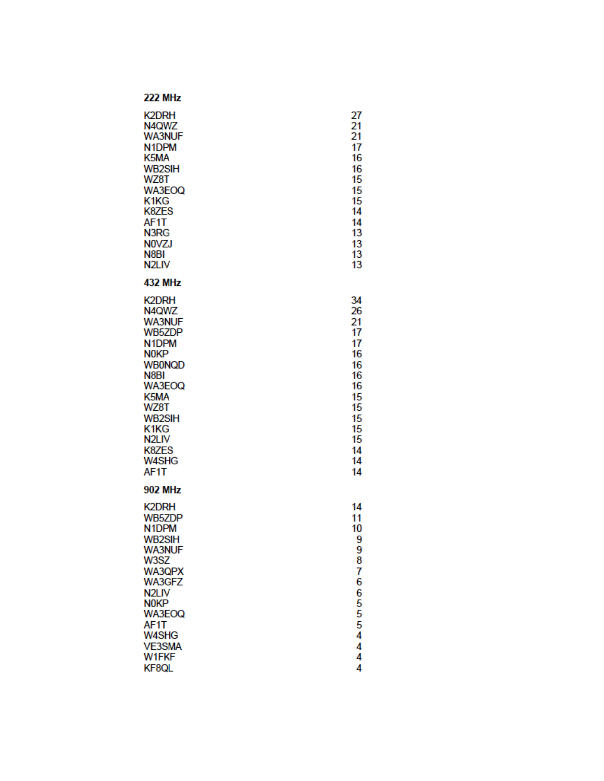| <b>K2DRH</b><br>N4QWZ<br><b>WA3NUF</b><br>N <sub>1</sub> DPM<br>K5MA<br><b>WB2SIH</b><br>WZ8T<br>WA3EOQ<br>K1KG<br>K8ZES<br>AF1T<br>N3RG<br><b>NOVZJ</b><br>N <sub>8</sub> BI<br>N <sub>2LIV</sub>                                          | 27<br>21<br>21<br>17<br>16<br>16<br>15<br>15<br>15<br>14<br>14<br>13<br>13<br>13<br>13             |
|---------------------------------------------------------------------------------------------------------------------------------------------------------------------------------------------------------------------------------------------|----------------------------------------------------------------------------------------------------|
| <b>432 MHz</b>                                                                                                                                                                                                                              |                                                                                                    |
| <b>K2DRH</b><br>N4QWZ<br><b>WA3NUF</b><br><b>WB5ZDP</b><br>N <sub>1</sub> DPM<br><b>N0KP</b><br><b>WB0NQD</b><br>N8BI<br>WA3EOQ<br>K <sub>5</sub> MA<br>WZ8T<br><b>WB2SIH</b><br>K1KG<br>N <sub>2LIV</sub><br>K8ZES<br><b>W4SHG</b><br>AF1T | 34<br>26<br>21<br>17<br>17<br>16<br>16<br>16<br>16<br>15<br>15<br>15<br>15<br>15<br>14<br>14<br>14 |
| <b>902 MHz</b>                                                                                                                                                                                                                              |                                                                                                    |
| <b>K2DRH</b><br><b>WB5ZDP</b><br>N <sub>1</sub> DPM<br><b>WB2SIH</b><br><b>WA3NUF</b><br>W3SZ<br>WA3QPX<br>WA3GFZ<br>N <sub>2</sub> LIV<br><b>NOKP</b><br>WA3EOQ<br>AF1T<br><b>W4SHG</b><br><b>VE3SMA</b><br>W1FKF<br>KF8QL                 | 14<br>11<br>10<br>9<br>9<br>8<br>7<br>6<br>6<br>5<br>5<br>5<br>4<br>4<br>4<br>4                    |
|                                                                                                                                                                                                                                             |                                                                                                    |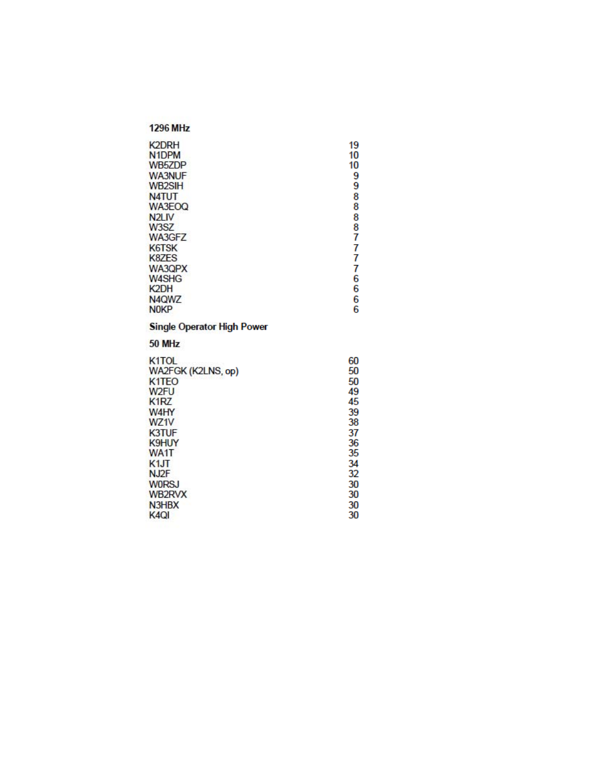| <b>1296 MHz</b>                    |          |
|------------------------------------|----------|
| <b>K2DRH</b><br>N <sub>1</sub> DPM | 19<br>10 |
| WB5ZDP                             | 10       |
| <b>WA3NUF</b>                      | 9        |
| <b>WB2SIH</b>                      | 9        |
| <b>N4TUT</b>                       | 8        |
| WA3EOQ                             | 8        |
| N <sub>2</sub> L <sub>IV</sub>     | 8        |
| W3SZ                               | 8        |
| WA3GFZ                             | 7        |
| <b>K6TSK</b>                       | 7<br>7   |
| K8ZES<br>WA3QPX                    | 7        |
| <b>W4SHG</b>                       | 6        |
| K <sub>2</sub> DH                  | 6        |
| N4QWZ                              | 6        |
| <b>NOKP</b>                        | 6        |
| <b>Single Operator High Power</b>  |          |
| 50 MHz                             |          |
| K <sub>1</sub> TOL                 | 60       |
| WA2FGK (K2LNS, op)                 | 50       |
| K <sub>1</sub> T <sub>EO</sub>     | 50       |
| W <sub>2FU</sub>                   | 49       |
| K <sub>1</sub> RZ                  | 45       |
| W4HY<br>WZ1V                       | 39<br>38 |
| <b>K3TUF</b>                       | 37       |
| K9HUY                              | 36       |
| WA1T                               | 35       |
| K <sub>1</sub> JT                  | 34       |
| NJ <sub>2</sub> F                  | 32       |
| <b>W0RSJ</b>                       | 30       |
|                                    |          |
| WB2RVX                             | 30       |
| N3HBX<br>K <sub>4</sub> Q          | 30<br>30 |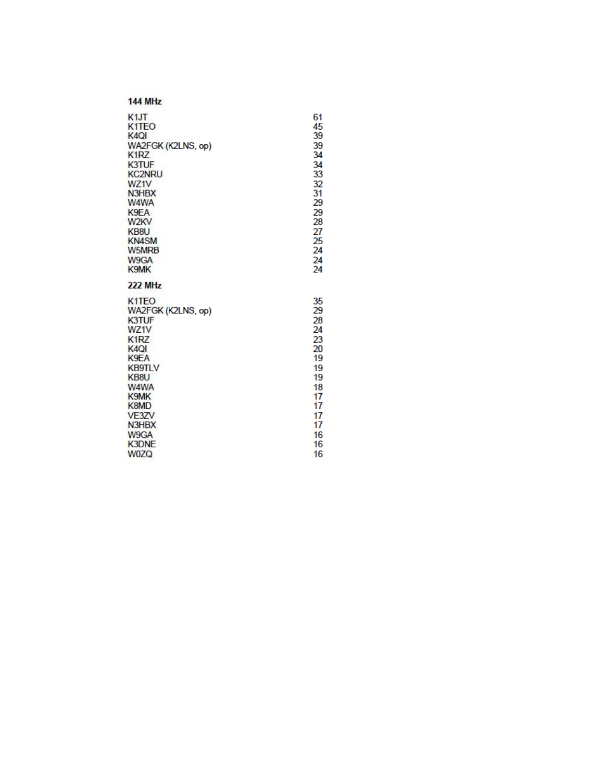| <b>144 MHz</b> |
|----------------|

| K1JT                           | 61 |
|--------------------------------|----|
| K <sub>1</sub> T <sub>EO</sub> | 45 |
| K <sub>4</sub> QI              | 39 |
| WA2FGK (K2LNS, op)             | 39 |
| K <sub>1</sub> R <sub>Z</sub>  | 34 |
| <b>K3TUF</b>                   | 34 |
| <b>KC2NRU</b>                  | 33 |
| WZ1V                           | 32 |
| N3HBX                          | 31 |
| W4WA                           | 29 |
| K9EA                           | 29 |
| W <sub>2</sub> KV              | 28 |
| KB8U                           | 27 |
| <b>KN4SM</b>                   | 25 |
| W5MRB                          | 24 |
| W9GA                           | 24 |
| K9MK                           | 24 |
| <b>222 MHz</b>                 |    |
| K <sub>1</sub> T <sub>EO</sub> | 35 |
| WA2FGK (K2LNS, op)             | 29 |
| <b>K3TUF</b>                   | 28 |
| WZ1V                           | 24 |
| K <sub>1</sub> R <sub>Z</sub>  | 23 |
| K <sub>4</sub> QI              | 20 |
| K9EA                           | 19 |
| <b>KB9TLV</b>                  | 19 |
| KB8U                           | 19 |
| W4WA                           | 18 |
| K9MK                           | 17 |
| K8MD                           | 17 |
| VE3ZV                          | 17 |
| N3HBX                          | 17 |
| W9GA                           | 16 |
| <b>K3DNE</b>                   | 16 |
| <b>W07Q</b>                    | 16 |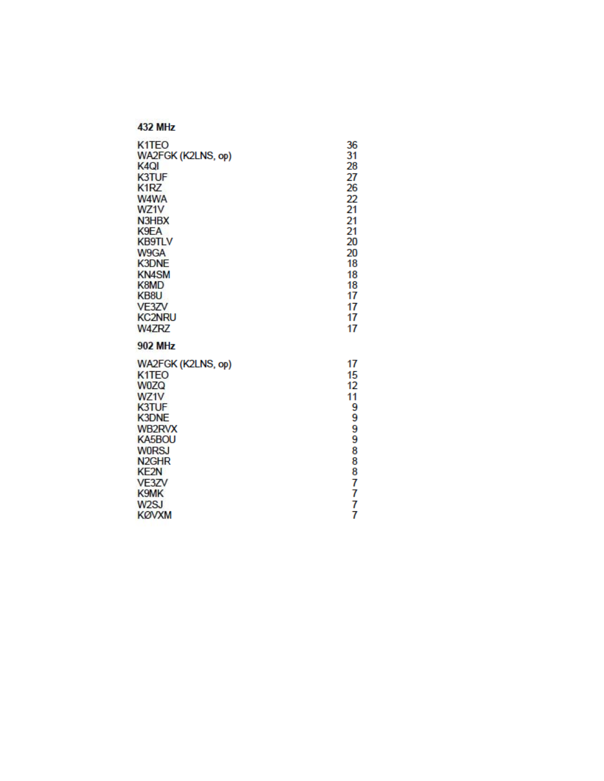| K <sub>1</sub> TEO                                                                                                                                                                                                                                                 | 36                                                                          |
|--------------------------------------------------------------------------------------------------------------------------------------------------------------------------------------------------------------------------------------------------------------------|-----------------------------------------------------------------------------|
| WA2FGK (K2LNS, op)                                                                                                                                                                                                                                                 | 31                                                                          |
| K <sub>4Q</sub>                                                                                                                                                                                                                                                    | 28                                                                          |
| <b>K3TUF</b>                                                                                                                                                                                                                                                       | 27                                                                          |
| K <sub>1</sub> RZ                                                                                                                                                                                                                                                  | 26                                                                          |
| W4WA                                                                                                                                                                                                                                                               | 22                                                                          |
| WZ1V                                                                                                                                                                                                                                                               | 21                                                                          |
| N3HBX                                                                                                                                                                                                                                                              | 21                                                                          |
| K9EA                                                                                                                                                                                                                                                               | 21                                                                          |
| <b>KB9TLV</b>                                                                                                                                                                                                                                                      | 20                                                                          |
| W9GA                                                                                                                                                                                                                                                               | 20                                                                          |
| <b>K3DNE</b>                                                                                                                                                                                                                                                       | 18                                                                          |
| <b>KN4SM</b>                                                                                                                                                                                                                                                       | 18                                                                          |
| K8MD                                                                                                                                                                                                                                                               | 18                                                                          |
| KB8U                                                                                                                                                                                                                                                               | 17                                                                          |
| VE3ZV                                                                                                                                                                                                                                                              | 17                                                                          |
| <b>KC2NRU</b>                                                                                                                                                                                                                                                      | 17                                                                          |
| <b>W4ZRZ</b>                                                                                                                                                                                                                                                       | 17                                                                          |
| <b>902 MHz</b><br>WA2FGK (K2LNS, op)<br>K <sub>1</sub> T <sub>EO</sub><br><b>W0ZQ</b><br>WZ1V<br><b>K3TUF</b><br><b>K3DNE</b><br><b>WB2RVX</b><br>KA5BOU<br><b>WORSJ</b><br>N <sub>2GHR</sub><br><b>KE2N</b><br>VE3ZV<br>K9MK<br>W <sub>2</sub> SJ<br><b>KØVXM</b> | 17<br>15<br>12<br>11<br>9<br>9<br>9<br>9<br>8<br>8<br>8<br>7<br>7<br>7<br>7 |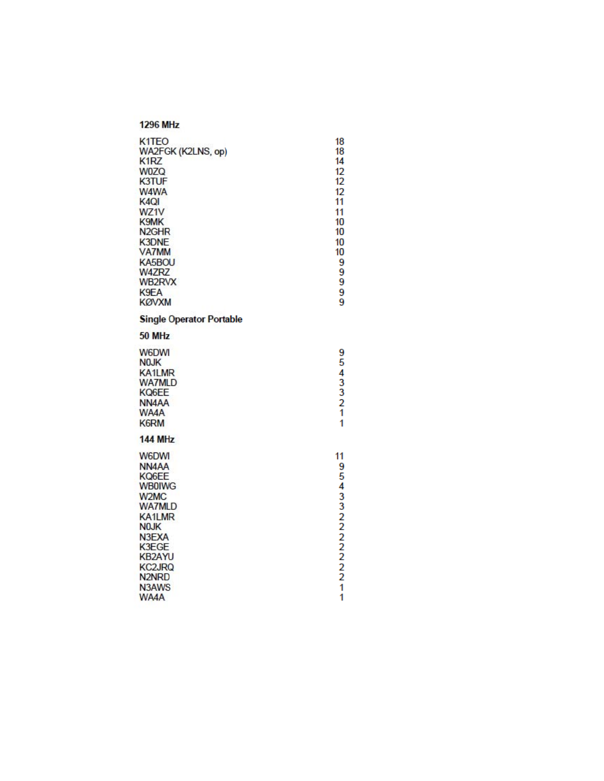| K <sub>1</sub> TEO<br>WA2FGK (K2LNS, op)<br>K1RZ<br><b>W0ZQ</b><br><b>K3TUF</b><br>W4WA<br>K <sub>4</sub> QI<br>WZ1V<br>K9MK<br>N <sub>2GHR</sub><br><b>K3DNE</b><br><b>VA7MM</b><br>KA5BOU<br><b>W4ZRZ</b><br>WB2RVX<br>K9EA<br><b>KØVXM</b> | 18<br>18<br>14<br>12<br>12<br>12<br>11<br>11<br>10<br>10<br>10<br>10<br>9<br>9<br>9<br>9<br>9 |
|-----------------------------------------------------------------------------------------------------------------------------------------------------------------------------------------------------------------------------------------------|-----------------------------------------------------------------------------------------------|
| <b>Single Operator Portable</b>                                                                                                                                                                                                               |                                                                                               |
| 50 MHz                                                                                                                                                                                                                                        |                                                                                               |
| <b>W6DWI</b><br><b>NOJK</b><br><b>KA1LMR</b><br><b>WA7MLD</b><br>KQ6EE<br>NN <sub>4</sub> AA<br>WA4A<br><b>K6RM</b>                                                                                                                           | 9<br>5<br>$433$<br>$21$<br>1                                                                  |
| <b>144 MHz</b>                                                                                                                                                                                                                                |                                                                                               |
| <b>W6DWI</b><br>NN <sub>4</sub> AA<br>KQ6EE<br><b>WB0IWG</b><br>W <sub>2</sub> M <sub>C</sub><br><b>WA7MLD</b><br><b>KA1LMR</b><br><b>NOJK</b><br>N3EXA<br>K3EGE<br><b>KB2AYU</b><br><b>KC2JRQ</b><br>N <sub>2NRD</sub><br>N3AWS<br>WA4A      | 11<br>9<br>54332222221<br>1                                                                   |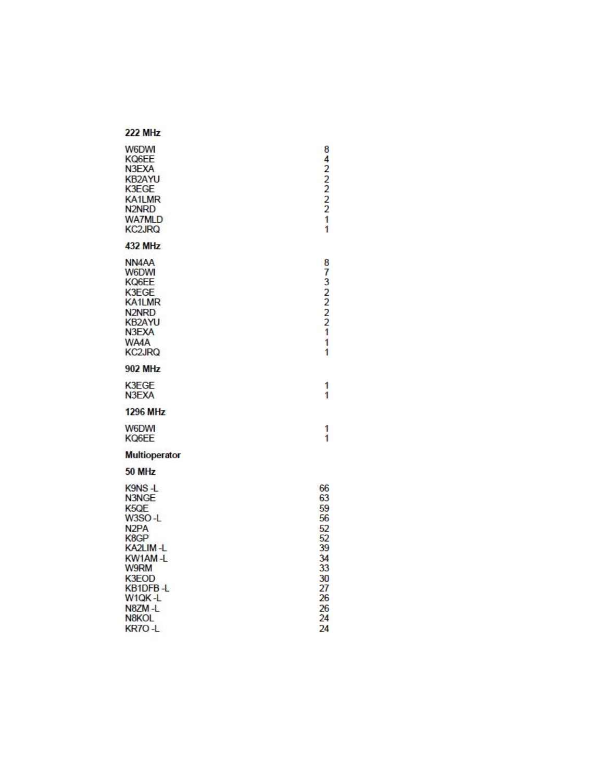#### **222 MHz W6DWI** 84222221 KQ6EE N3EXA **KB2AYU** K3EGE **KA1LMR** N<sub>2NRD</sub> **WA7MLD KC2JRQ** 1 **432 MHz** NN<sub>4</sub>AA 87322221 **W6DWI** KQ6EE K3EGE **KA1LMR** N2NRD<br>KB2AYU<br>N3EXA WA4A 1 **KC2JRQ** 1 **902 MHz** K3EGE 1 N3EXA 1 **1296 MHz** W6DWI  $\mathbf{1}$ KQ6EE 1 Multioperator 50 MHz K9NS-L 66 63<br>59<br>56 N3NGE K<sub>5QE</sub> W3SO-L 52<br>52<br>39 N<sub>2</sub>PA K8GP KA2LIM-L 34<br>33<br>30<br>27<br>26 KW1AM-L **W9RM** K3EOD KB1DFB-L W1QK-L N8ZM-L 26 N8KOL 24 KR7O-L 24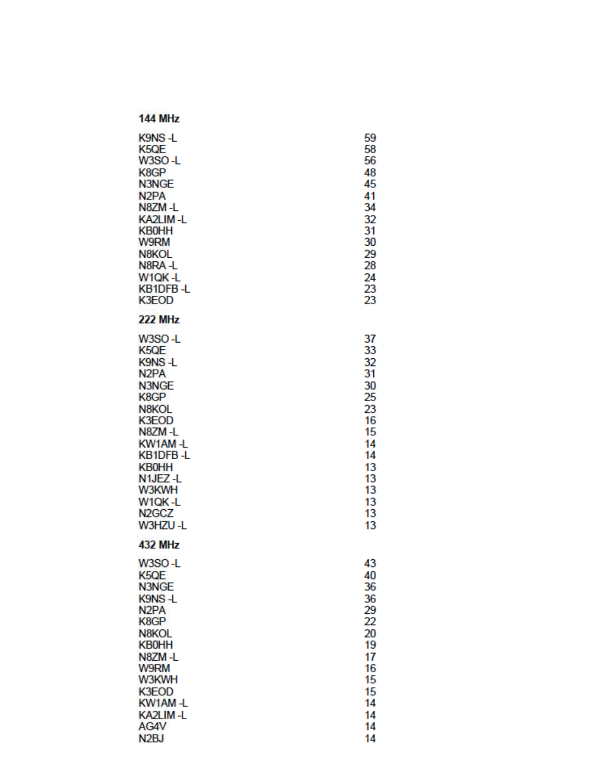| <b>144 MHz</b>                 |    |
|--------------------------------|----|
| K9NS L                         | 59 |
| K <sub>5</sub> QE              | 58 |
| W3SO-L                         | 56 |
| K8GP                           | 48 |
| N3NGE                          | 45 |
| N <sub>2</sub> PA              | 41 |
| N8ZM-L                         | 34 |
| KA2LIM-L                       | 32 |
| <b>KB0HH</b>                   | 31 |
| <b>W9RM</b>                    | 30 |
| N8KOL                          | 29 |
| N8RA-L                         | 28 |
| W1QK-L                         | 24 |
| KB1DFB-L                       | 23 |
| <b>K3EOD</b>                   | 23 |
| <b>222 MHz</b>                 |    |
| W3SO-L                         | 37 |
| K <sub>5</sub> QE              | 33 |
| K9NS-L                         | 32 |
| N <sub>2</sub> PA              | 31 |
| N3NGE                          | 30 |
| K8GP                           | 25 |
| N8KOL                          | 23 |
| K3EOD                          | 16 |
| N8ZM-L                         | 15 |
| KW1AM-L                        | 14 |
| KB1DFB-L                       | 14 |
| <b>KB0HH</b>                   | 13 |
| N <sub>1</sub> JEZ-L           | 13 |
| W3KWH                          | 13 |
| W1QK-L                         | 13 |
| N <sub>2</sub> GC <sub>Z</sub> | 13 |
| W3HZU-L                        | 13 |
| <b>432 MHz</b>                 |    |
| W3SO-L                         | 43 |
| K5QE                           | 40 |
| N3NGE                          | 36 |
| K9NS-L                         | 36 |
| N <sub>2</sub> PA              | 29 |
| K8GP                           | 22 |
| N8KOL                          | 20 |
| <b>KB0HH</b>                   | 19 |
| N8ZM-L                         | 17 |
| W9RM                           | 16 |
| W3KWH                          | 15 |
| K3EOD                          | 15 |
| KW1AM-L                        | 14 |
| KA2LIM-L                       | 14 |
| AG4V                           | 14 |
| N <sub>2</sub> BJ              | 14 |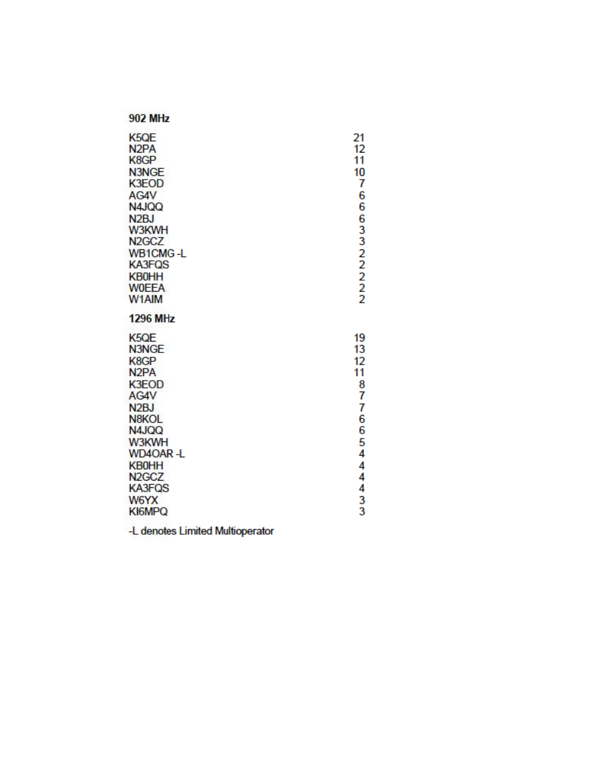| K <sub>5</sub> QE<br>N <sub>2</sub> PA<br>K8GP<br>N3NGE<br>K3EOD<br>AG4V<br>N4JQQ<br>N <sub>2</sub> BJ<br>W3KWH<br>N <sub>2</sub> GC <sub>Z</sub><br><b>WB1CMG-L</b><br><b>KA3FQS</b><br><b>KB0HH</b><br><b>WOEEA</b><br>W1AIM         | 21<br>12<br>11<br>10<br>7<br>6<br>6<br>6<br>332222                               |
|----------------------------------------------------------------------------------------------------------------------------------------------------------------------------------------------------------------------------------------|----------------------------------------------------------------------------------|
| <b>1296 MHz</b>                                                                                                                                                                                                                        |                                                                                  |
| K <sub>5QE</sub><br>N3NGE<br>K8GP<br>N <sub>2</sub> PA<br><b>K3EOD</b><br>AG4V<br>N <sub>2</sub> BJ<br>N8KOL<br>N4JQQ<br>W3KWH<br><b>WD4OAR-L</b><br><b>KB0HH</b><br>N <sub>2</sub> GC <sub>Z</sub><br><b>KA3FQS</b><br>W6YX<br>KI6MPQ | 19<br>13<br>12<br>11<br>8<br>7<br>7<br>6<br>6<br>5<br>4<br>4<br>4<br>4<br>3<br>3 |

-L denotes Limited Multioperator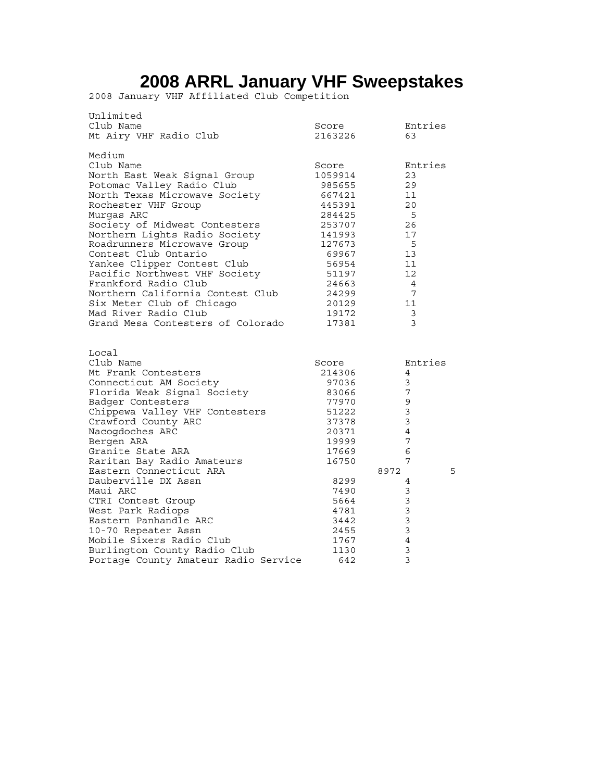# **2008 ARRL January VHF Sweepstakes**

2008 January VHF Affiliated Club Competition

| Unlimited<br>Club Name<br>Mt Airy VHF Radio Club                                                                                                                                                                                                                                                                                                                                                                                                                                                                                  | Score<br>2163226                                                                                                                                                        | Entries<br>63                                                                                                                    |
|-----------------------------------------------------------------------------------------------------------------------------------------------------------------------------------------------------------------------------------------------------------------------------------------------------------------------------------------------------------------------------------------------------------------------------------------------------------------------------------------------------------------------------------|-------------------------------------------------------------------------------------------------------------------------------------------------------------------------|----------------------------------------------------------------------------------------------------------------------------------|
| Medium<br>Club Name<br>North East Weak Signal Group<br>Potomac Valley Radio Club<br>North Texas Microwave Society<br>Rochester VHF Group<br>Murqas ARC<br>Society of Midwest Contesters<br>Northern Lights Radio Society<br>Roadrunners Microwave Group<br>Contest Club Ontario<br>Yankee Clipper Contest Club<br>Pacific Northwest VHF Society<br>Frankford Radio Club<br>Northern California Contest Club<br>Six Meter Club of Chicago<br>Mad River Radio Club<br>Grand Mesa Contesters of Colorado                             | Score<br>1059914<br>985655<br>667421<br>445391<br>284425<br>253707<br>141993<br>127673<br>69967<br>56954<br>51197<br>24663<br>24299<br>20129<br>19172<br>17381          | Entries<br>23<br>29<br>11<br>20<br>5<br>26<br>17<br>5<br>13<br>11<br>12<br>4<br>7<br>11<br>3<br>3                                |
| Local<br>Club Name<br>Mt Frank Contesters<br>Connecticut AM Society<br>Florida Weak Signal Society<br>Badger Contesters<br>Chippewa Valley VHF Contesters<br>Crawford County ARC<br>Nacogdoches ARC<br>Bergen ARA<br>Granite State ARA<br>Raritan Bay Radio Amateurs<br>Eastern Connecticut ARA<br>Dauberville DX Assn<br>Maui ARC<br>CTRI Contest Group<br>West Park Radiops<br>Eastern Panhandle ARC<br>10-70 Repeater Assn<br>Mobile Sixers Radio Club<br>Burlington County Radio Club<br>Portage County Amateur Radio Service | Score<br>214306<br>97036<br>83066<br>77970<br>51222<br>37378<br>20371<br>19999<br>17669<br>16750<br>8299<br>7490<br>5664<br>4781<br>3442<br>2455<br>1767<br>1130<br>642 | Entries<br>4<br>3<br>7<br>9<br>3<br>3<br>4<br>7<br>6<br>7<br>8972<br>5<br>4<br>3<br>3<br>3<br>3<br>3<br>$\overline{4}$<br>3<br>3 |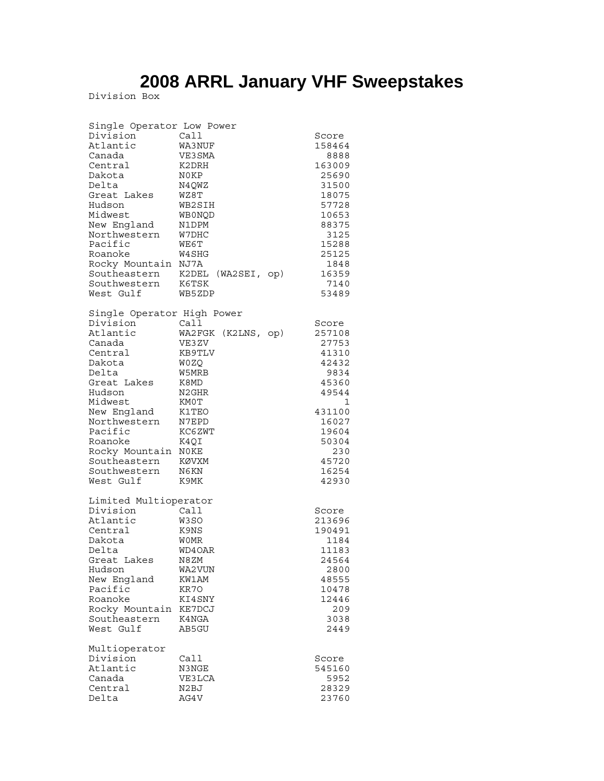# **2008 ARRL January VHF Sweepstakes**

Division Box

| Single Operator Low Power<br>Division<br>Atlantic<br>Canada<br>Central<br>Dakota<br>Delta<br>Great Lakes<br>Hudson<br>Midwest<br>New England<br>Northwestern<br>Pacific<br>Roanoke<br>Rocky Mountain<br>Southeastern<br>Southwestern<br>West Gulf  | Call<br>WA3NUF<br>VE3SMA<br>K2DRH<br>N0KP<br>N4QWZ<br>WZ8T<br>WB2SIH<br>WBONQD<br>N1DPM<br>W7DHC<br>WE6T<br>W4SHG<br>NJ7A<br>K2DEL<br>(WAZSET, op)<br>K6TSK<br>WB5ZDP | Score<br>158464<br>8888<br>163009<br>25690<br>31500<br>18075<br>57728<br>10653<br>88375<br>3125<br>15288<br>25125<br>1848<br>16359<br>7140<br>53489 |
|----------------------------------------------------------------------------------------------------------------------------------------------------------------------------------------------------------------------------------------------------|-----------------------------------------------------------------------------------------------------------------------------------------------------------------------|-----------------------------------------------------------------------------------------------------------------------------------------------------|
| Single Operator High Power<br>Division<br>Atlantic<br>Canada<br>Central<br>Dakota<br>Delta<br>Great Lakes<br>Hudson<br>Midwest<br>New England<br>Northwestern<br>Pacific<br>Roanoke<br>Rocky Mountain<br>Southeastern<br>Southwestern<br>West Gulf | Call<br>WA2FGK<br>(K2LNS, op)<br>VE3ZV<br>KB9TLV<br>W0ZO<br>W5MRB<br>K8MD<br>N2GHR<br>KM0T<br>K1TEO<br>N7EPD<br>KC6ZWT<br>K4QI<br>N0KE<br>KØVXM<br>N6KN<br>K9MK       | Score<br>257108<br>27753<br>41310<br>42432<br>9834<br>45360<br>49544<br>1<br>431100<br>16027<br>19604<br>50304<br>230<br>45720<br>16254<br>42930    |
| Limited Multioperator<br>Division<br>Atlantic<br>Central<br>Dakota<br>Delta<br>Great Lakes<br>Hudson<br>New England<br>Pacific<br>Roanoke<br>Rocky Mountain<br>Southeastern<br>West Gulf                                                           | Call<br>W3SO<br>K9NS<br><b>WOMR</b><br>WD4OAR<br>N8ZM<br>WA2VUN<br>KW1AM<br>KR70<br>KI4SNY<br>KE7DCJ<br>K4NGA<br>AB5GU                                                | Score<br>213696<br>190491<br>1184<br>11183<br>24564<br>2800<br>48555<br>10478<br>12446<br>209<br>3038<br>2449                                       |
| Multioperator<br>Division<br>Atlantic<br>Canada<br>Central<br>Delta                                                                                                                                                                                | Call<br>N3NGE<br>VE3LCA<br>N2BJ<br>AG4V                                                                                                                               | Score<br>545160<br>5952<br>28329<br>23760                                                                                                           |